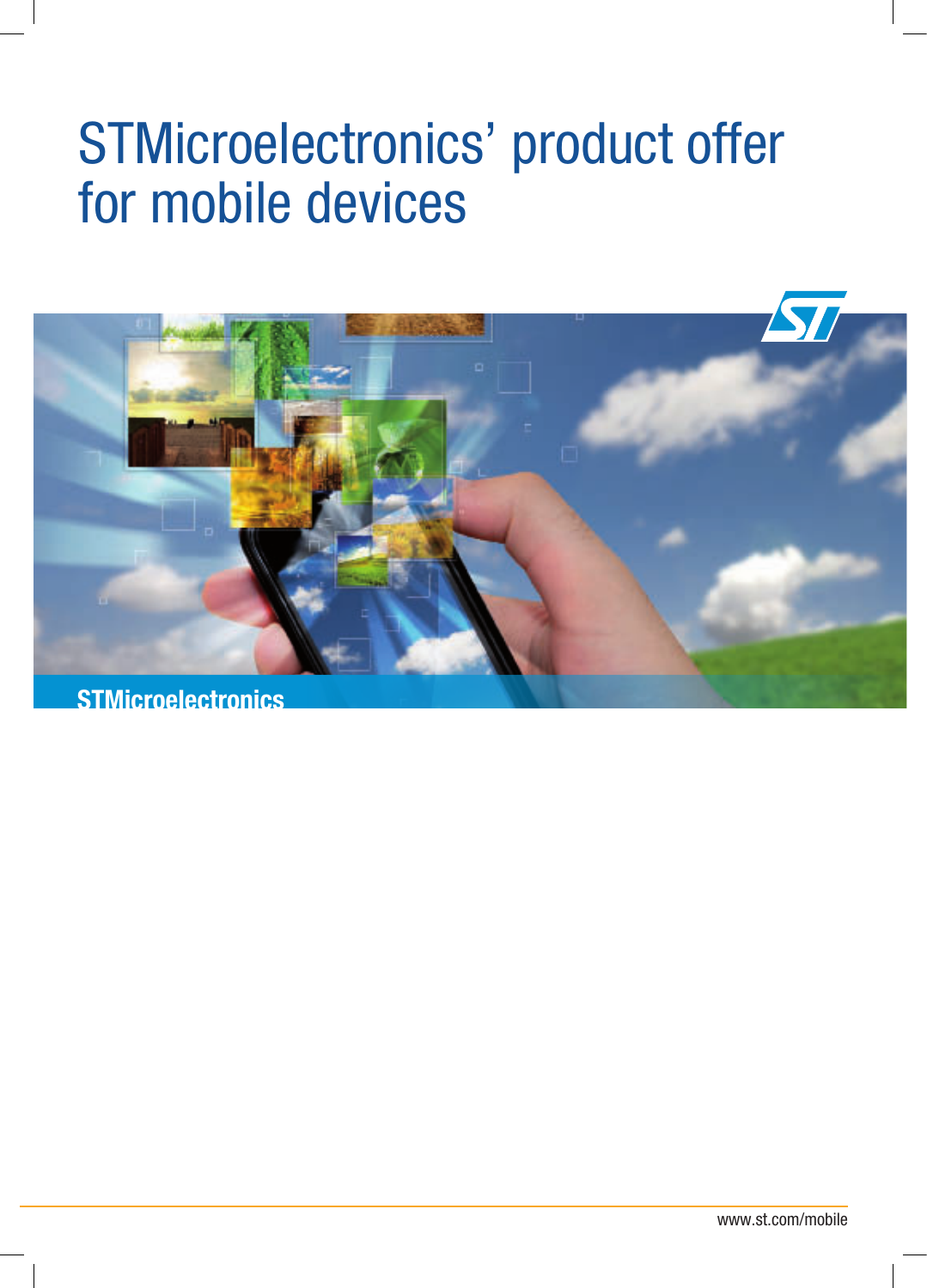# STMicroelectronics' product offer for mobile devices



**STMicroelectronics**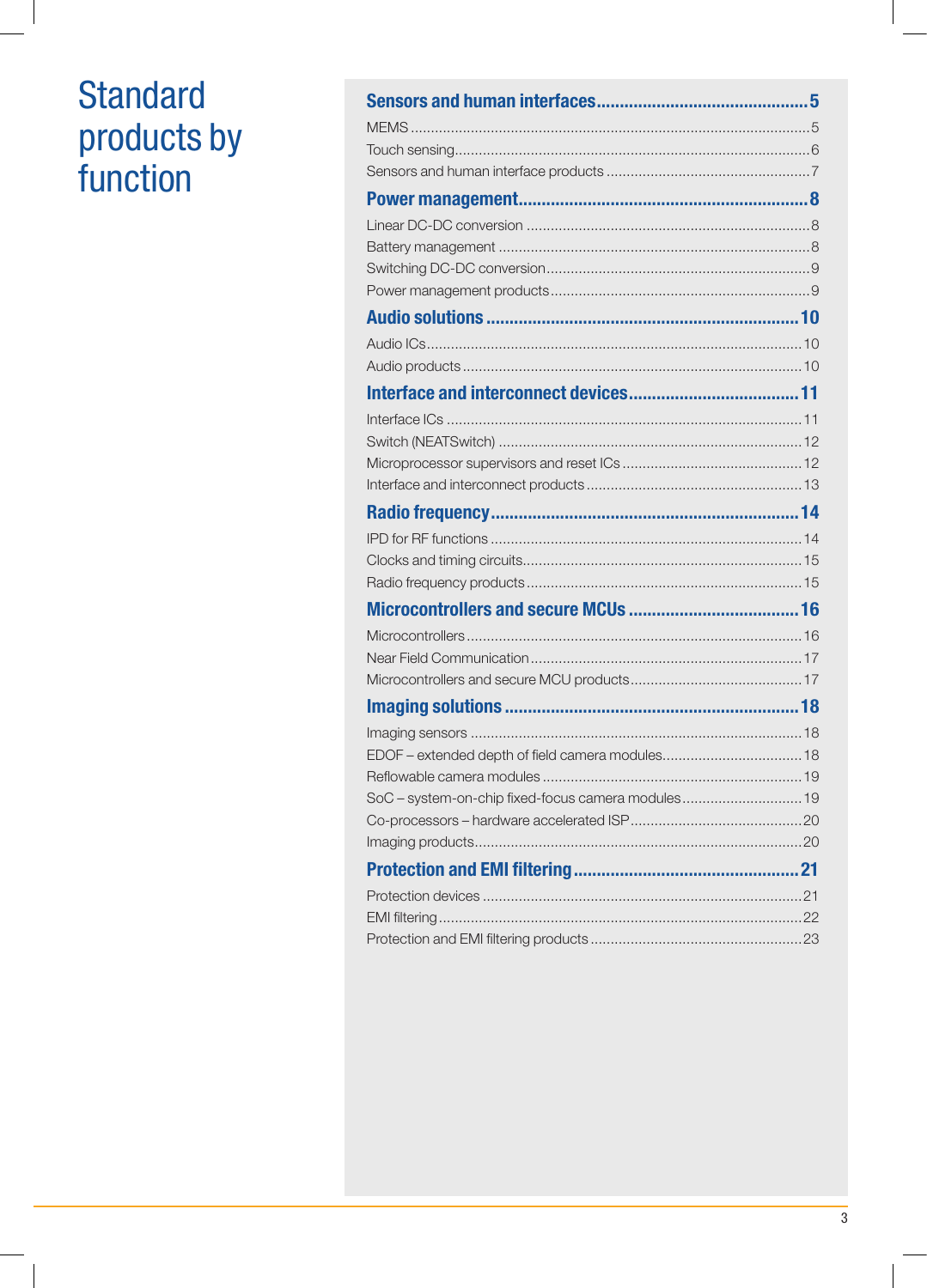# **Standard** products by<br>function

| EDOF - extended depth of field camera modules 18   |  |
|----------------------------------------------------|--|
|                                                    |  |
| SoC - system-on-chip fixed-focus camera modules 19 |  |
|                                                    |  |
|                                                    |  |
|                                                    |  |
|                                                    |  |
|                                                    |  |
|                                                    |  |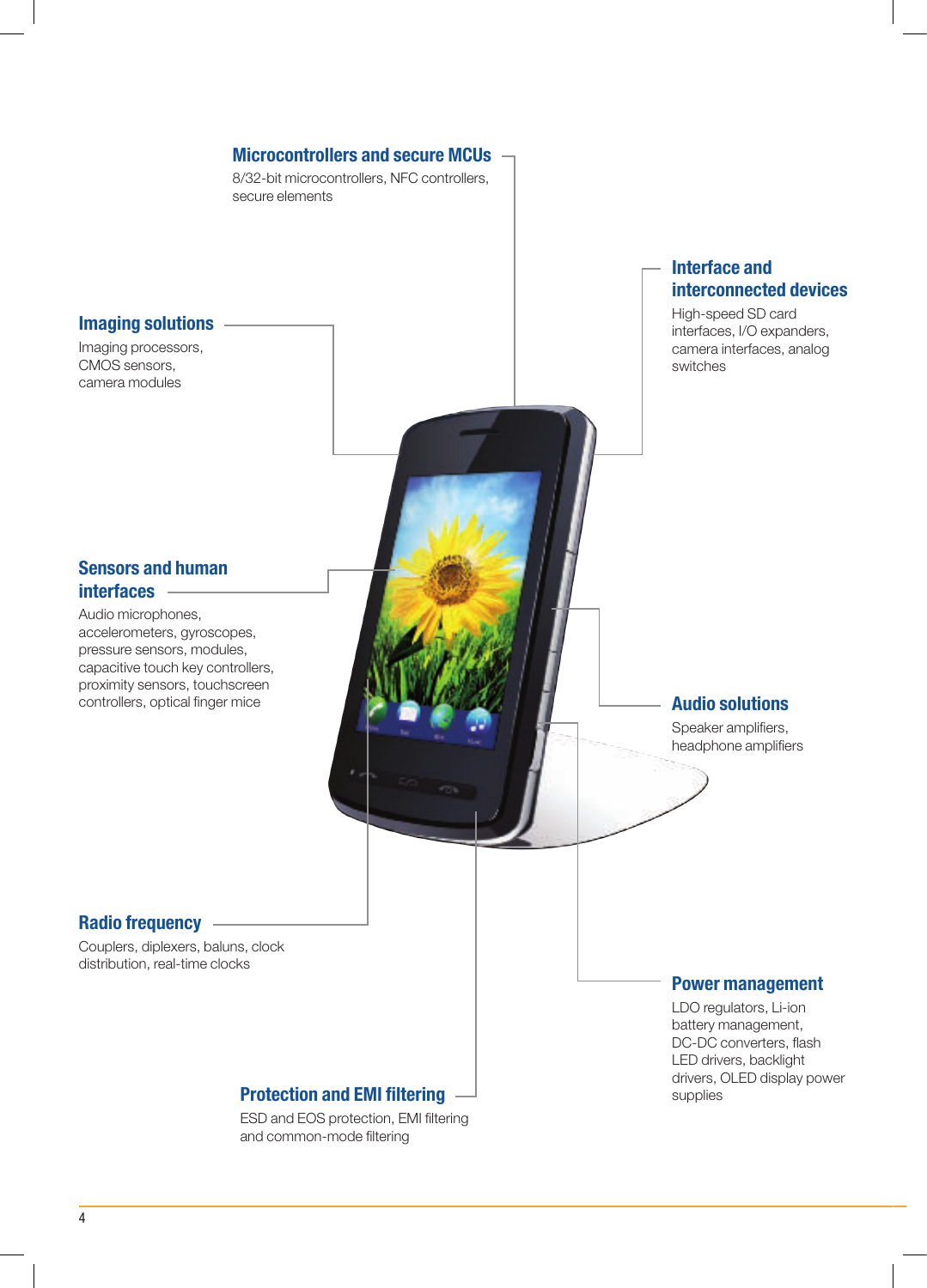

#### **Microcontrollers and secure MCUs**

8/32-bit microcontrollers, NFC controllers, secure elements

#### **Protection and EMI filtering**

ESD and EOS protection, EMI filtering and common-mode filtering

drivers, OLED display power supplies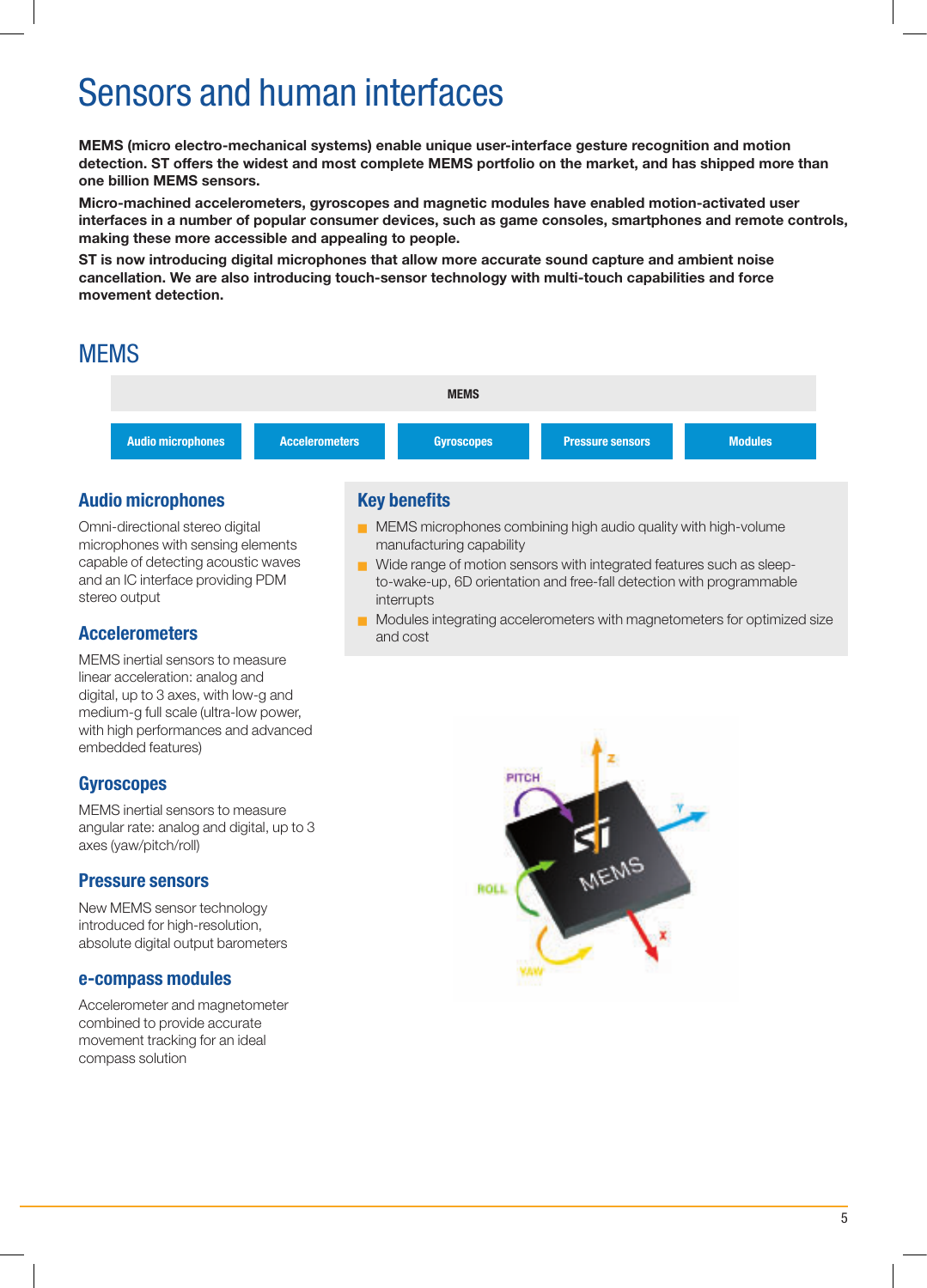## Sensors and human interfaces

**MEMS (micro electro-mechanical systems) enable unique user-interface gesture recognition and motion detection. ST offers the widest and most complete MEMS portfolio on the market, and has shipped more than one billion MEMS sensors.**

**Micro-machined accelerometers, gyroscopes and magnetic modules have enabled motion-activated user interfaces in a number of popular consumer devices, such as game consoles, smartphones and remote controls, making these more accessible and appealing to people.**

**ST is now introducing digital microphones that allow more accurate sound capture and ambient noise cancellation. We are also introducing touch-sensor technology with multi-touch capabilities and force movement detection.**

## **MEMS**



#### **Audio microphones**

Omni-directional stereo digital microphones with sensing elements capable of detecting acoustic waves and an IC interface providing PDM stereo output

#### **Accelerometers**

MEMS inertial sensors to measure linear acceleration: analog and digital, up to 3 axes, with low-g and medium-g full scale (ultra-low power, with high performances and advanced embedded features)

#### **Gyroscopes**

MEMS inertial sensors to measure angular rate: analog and digital, up to 3 axes (yaw/pitch/roll)

#### **Pressure sensors**

New MEMS sensor technology introduced for high-resolution, absolute digital output barometers

#### **e-compass modules**

Accelerometer and magnetometer combined to provide accurate movement tracking for an ideal compass solution

- **MEMS** microphones combining high audio quality with high-volume manufacturing capability
- Wide range of motion sensors with integrated features such as sleepto-wake-up, 6D orientation and free-fall detection with programmable interrupts
- Modules integrating accelerometers with magnetometers for optimized size and cost

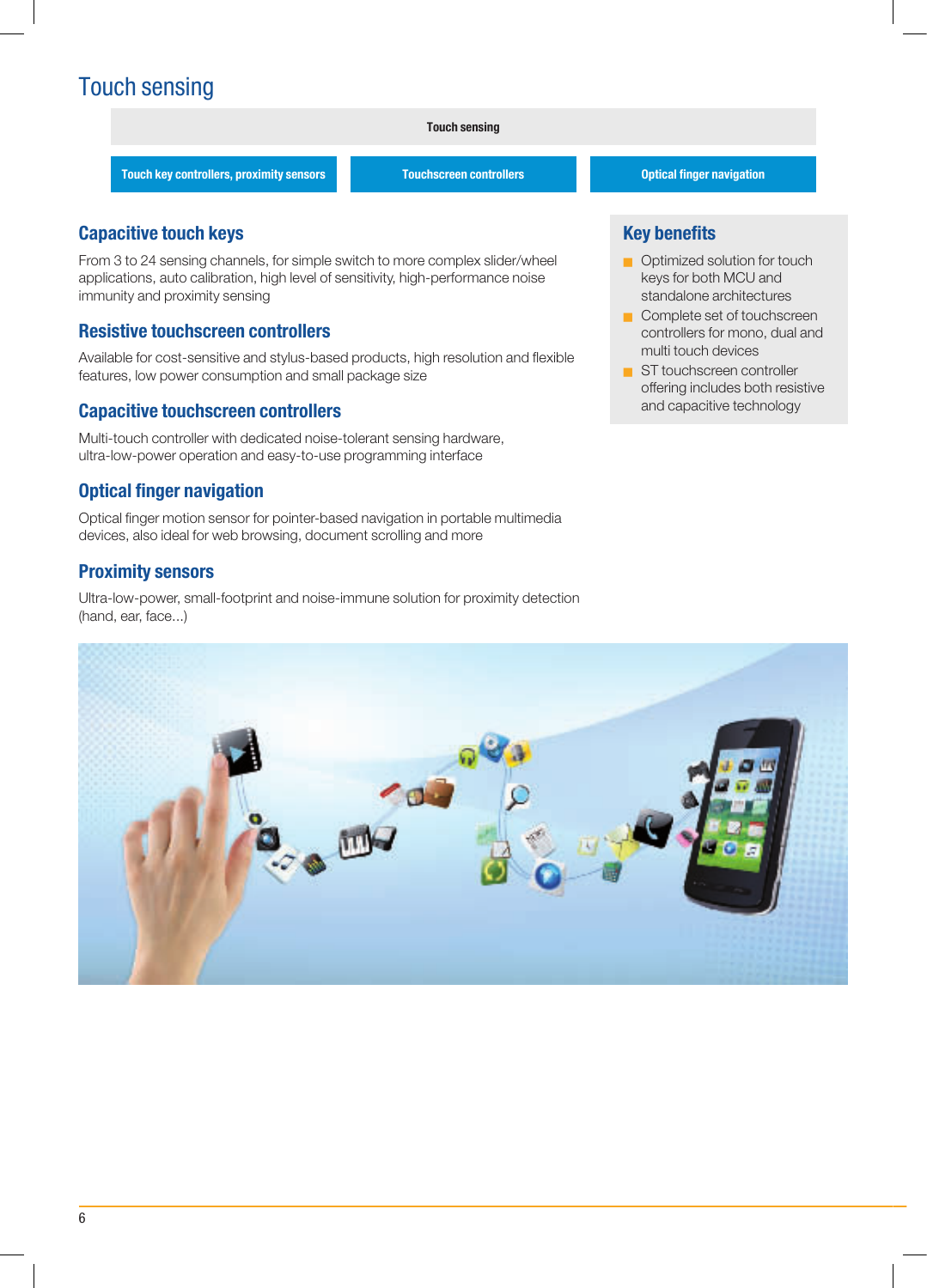## Touch sensing

**Touch sensing**

**Touch key controllers, proximity sensors Touchscreen controllers Optical finger navigation**

**Capacitive touch keys**

From 3 to 24 sensing channels, for simple switch to more complex slider/wheel applications, auto calibration, high level of sensitivity, high-performance noise immunity and proximity sensing

#### **Resistive touchscreen controllers**

Available for cost-sensitive and stylus-based products, high resolution and flexible features, low power consumption and small package size

#### **Capacitive touchscreen controllers**

Multi-touch controller with dedicated noise-tolerant sensing hardware, ultra-low-power operation and easy-to-use programming interface

#### **Optical finger navigation**

Optical finger motion sensor for pointer-based navigation in portable multimedia devices, also ideal for web browsing, document scrolling and more

#### **Proximity sensors**

Ultra-low-power, small-footprint and noise-immune solution for proximity detection (hand, ear, face...)

- **Q** Optimized solution for touch keys for both MCU and standalone architectures
- Complete set of touchscreen controllers for mono, dual and multi touch devices
- ST touchscreen controller offering includes both resistive and capacitive technology

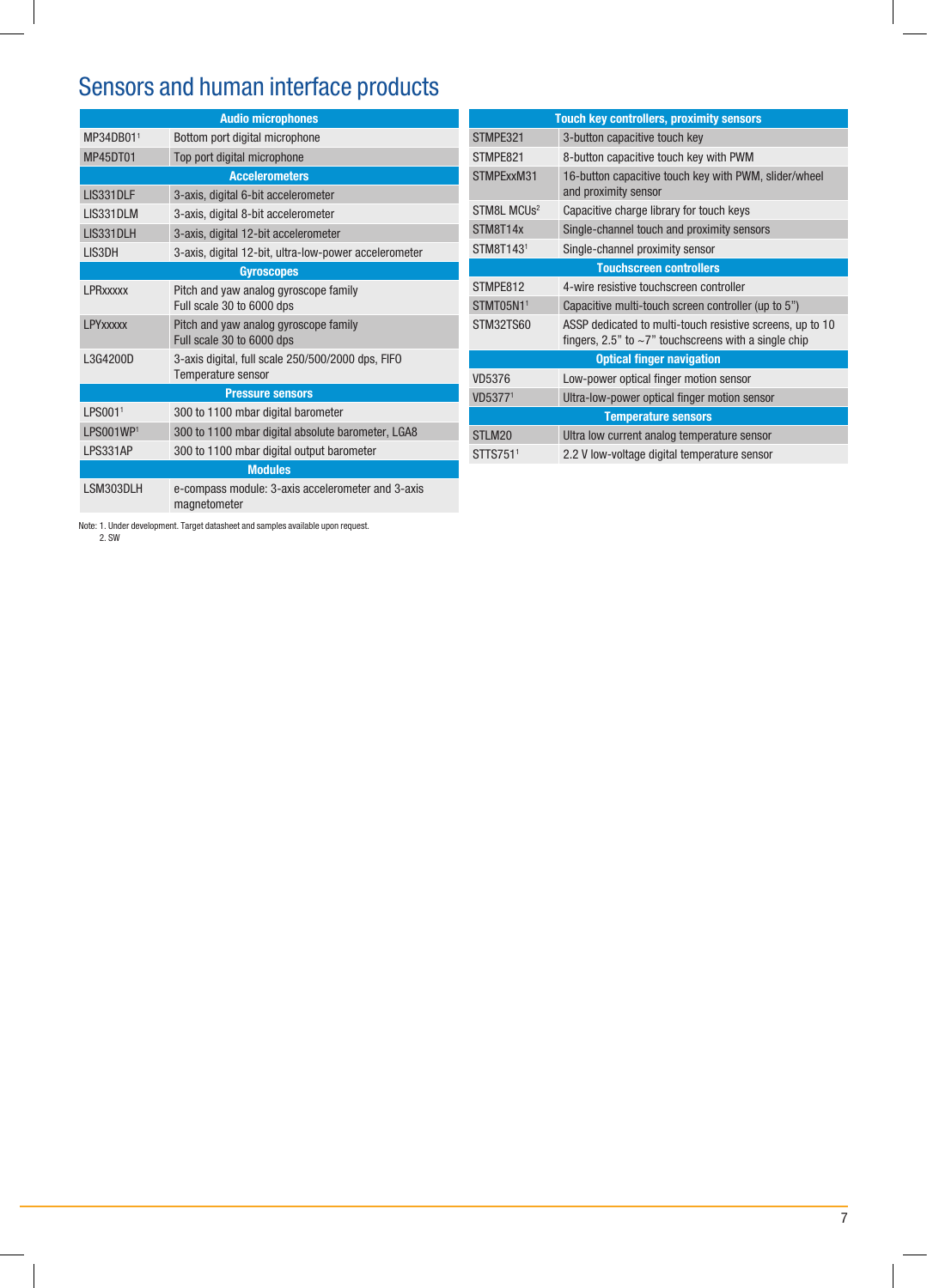## Sensors and human interface products

|                                                               | <b>Audio microphones</b>                                           |                                    | <b>Touch key controllers, proximity sensors</b>                                                                         |  |
|---------------------------------------------------------------|--------------------------------------------------------------------|------------------------------------|-------------------------------------------------------------------------------------------------------------------------|--|
| MP34DB011                                                     | Bottom port digital microphone                                     | STMPE321                           | 3-button capacitive touch key                                                                                           |  |
| MP45DT01                                                      | Top port digital microphone                                        | STMPE821                           | 8-button capacitive touch key with PWM                                                                                  |  |
|                                                               | <b>Accelerometers</b>                                              | STMPExxM31                         | 16-button capacitive touch key with PWM, slider/wheel                                                                   |  |
| LIS331DLF                                                     | 3-axis, digital 6-bit accelerometer                                |                                    | and proximity sensor                                                                                                    |  |
| LIS331DLM                                                     | 3-axis, digital 8-bit accelerometer                                | STM8L MCU <sub>s<sup>2</sup></sub> | Capacitive charge library for touch keys                                                                                |  |
| LIS331DLH                                                     | 3-axis, digital 12-bit accelerometer                               | STM8T14x                           | Single-channel touch and proximity sensors                                                                              |  |
| LIS3DH                                                        | 3-axis, digital 12-bit, ultra-low-power accelerometer              | STM8T143 <sup>1</sup>              | Single-channel proximity sensor                                                                                         |  |
|                                                               | <b>Gyroscopes</b>                                                  |                                    | <b>Touchscreen controllers</b>                                                                                          |  |
| <b>LPRxxxxx</b>                                               | Pitch and yaw analog gyroscope family                              | STMPE812                           | 4-wire resistive touchscreen controller                                                                                 |  |
|                                                               | Full scale 30 to 6000 dps                                          | STMT05N11                          | Capacitive multi-touch screen controller (up to 5")                                                                     |  |
| LPYxxxxx                                                      | Pitch and yaw analog gyroscope family<br>Full scale 30 to 6000 dps | STM32TS60                          | ASSP dedicated to multi-touch resistive screens, up to 10<br>fingers, 2.5" to $\sim$ 7" touchscreens with a single chip |  |
| L3G4200D<br>3-axis digital, full scale 250/500/2000 dps, FIFO |                                                                    | <b>Optical finger navigation</b>   |                                                                                                                         |  |
|                                                               | Temperature sensor                                                 | VD5376                             | Low-power optical finger motion sensor                                                                                  |  |
|                                                               | <b>Pressure sensors</b>                                            | VD53771                            | Ultra-low-power optical finger motion sensor                                                                            |  |
| LPS001 <sup>1</sup>                                           | 300 to 1100 mbar digital barometer                                 |                                    | <b>Temperature sensors</b>                                                                                              |  |
| LPS001WP <sup>1</sup>                                         | 300 to 1100 mbar digital absolute barometer, LGA8                  | STLM20                             | Ultra low current analog temperature sensor                                                                             |  |
| LPS331AP                                                      | 300 to 1100 mbar digital output barometer                          | STTS7511                           | 2.2 V low-voltage digital temperature sensor                                                                            |  |
|                                                               | <b>Modules</b>                                                     |                                    |                                                                                                                         |  |
| LSM303DLH                                                     | e-compass module: 3-axis accelerometer and 3-axis<br>magnetometer  |                                    |                                                                                                                         |  |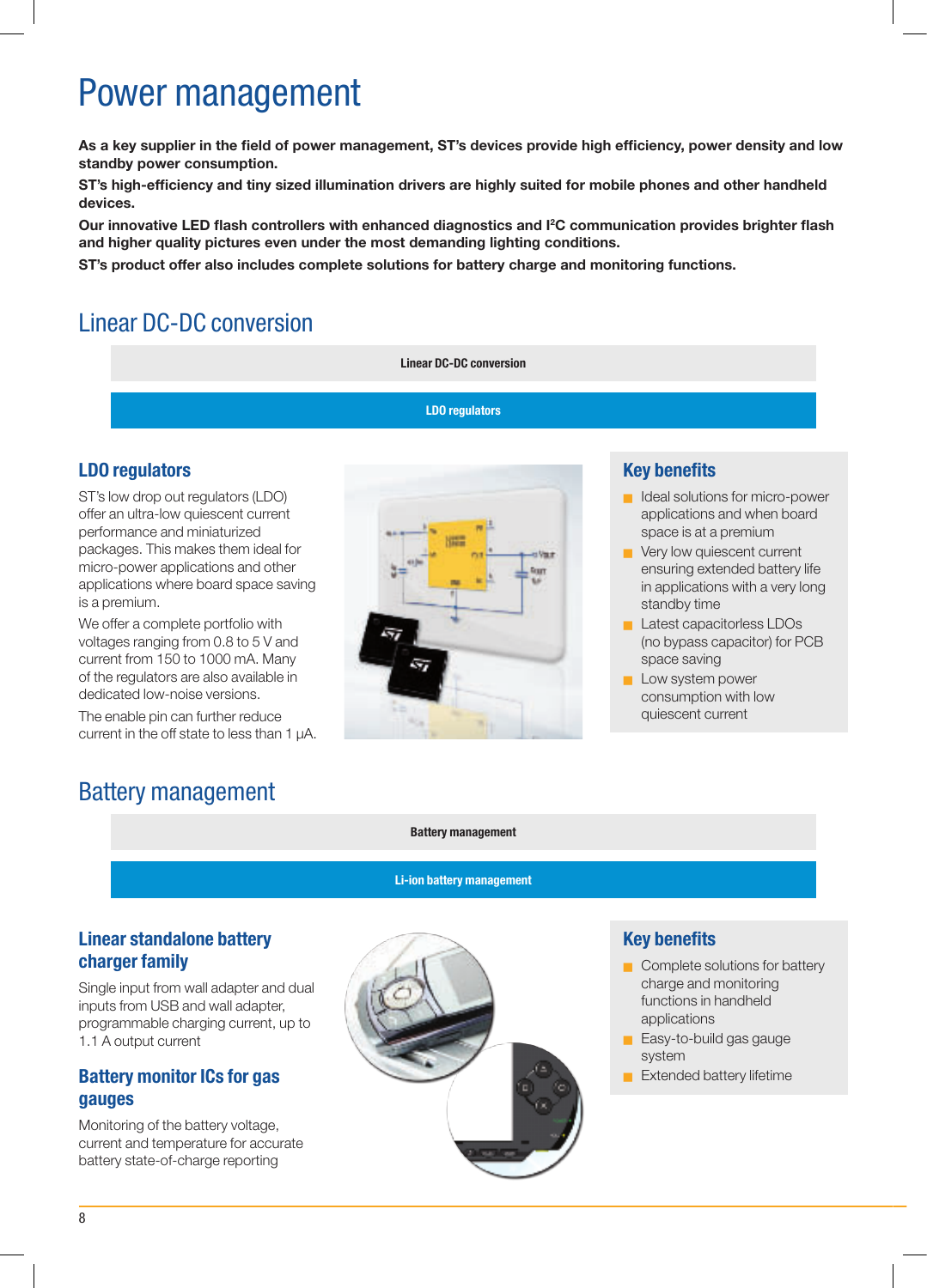## Power management

**As a key supplier in the field of power management, ST's devices provide high efficiency, power density and low standby power consumption.**

**ST's high-efficiency and tiny sized illumination drivers are highly suited for mobile phones and other handheld devices.**

**Our innovative LED flash controllers with enhanced diagnostics and I2 C communication provides brighter flash and higher quality pictures even under the most demanding lighting conditions.**

**ST's product offer also includes complete solutions for battery charge and monitoring functions.**

## Linear DC-DC conversion

**Linear DC-DC conversion**

**LDO regulators**

#### **LDO regulators**

ST's low drop out regulators (LDO) offer an ultra-low quiescent current performance and miniaturized packages. This makes them ideal for micro-power applications and other applications where board space saving is a premium.

We offer a complete portfolio with voltages ranging from 0.8 to 5 V and current from 150 to 1000 mA. Many of the regulators are also available in dedicated low-noise versions.

The enable pin can further reduce current in the off state to less than 1 µA.



#### **Key benefits**

- **D** Ideal solutions for micro-power applications and when board space is at a premium
- Very low quiescent current ensuring extended battery life in applications with a very long standby time
- **Latest capacitorless LDOs** (no bypass capacitor) for PCB space saving
- **Low system power** consumption with low quiescent current

## Battery management

**Battery management**

#### **Li-ion battery management**

#### **Linear standalone battery charger family**

Single input from wall adapter and dual inputs from USB and wall adapter, programmable charging current, up to 1.1 A output current

#### **Battery monitor ICs for gas gauges**

Monitoring of the battery voltage, current and temperature for accurate battery state-of-charge reporting



- $\Box$  Complete solutions for battery charge and monitoring functions in handheld applications
- **Easy-to-build gas gauge** system
- **Extended battery lifetime**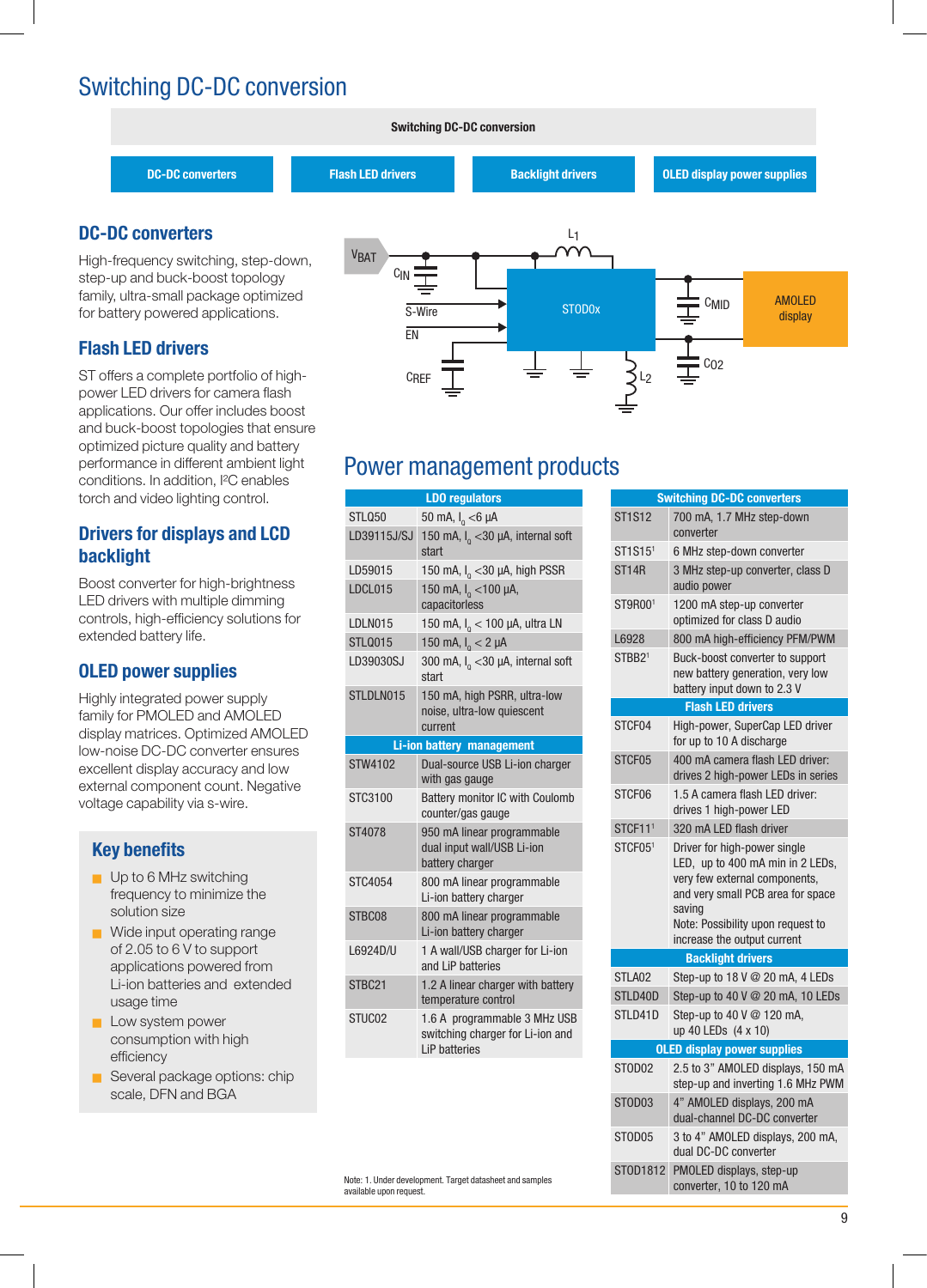## Switching DC-DC conversion



### Power management products

| <b>LDO regulators</b> |                                                                                    |  |
|-----------------------|------------------------------------------------------------------------------------|--|
| STL050                | 50 mA, $I_0 < 6$ µA                                                                |  |
| LD39115J/SJ           | 150 mA, $I_0$ < 30 $\mu$ A, internal soft<br>start                                 |  |
| LD59015               | 150 mA, I <sub>o</sub> < 30 µA, high PSSR                                          |  |
| LDCL015               | 150 mA, $I_0$ < 100 µA,<br>capacitorless                                           |  |
| LDLN015               | 150 mA, $I_0$ < 100 µA, ultra LN                                                   |  |
| <b>STL0015</b>        | 150 mA, $I_0 < 2 \mu A$                                                            |  |
| LD39030SJ             | 300 mA, $I_0$ < 30 µA, internal soft<br>start                                      |  |
| STLDLN015             | 150 mA, high PSRR, ultra-low<br>noise, ultra-low quiescent<br>current              |  |
|                       | <b>Li-ion battery management</b>                                                   |  |
| <b>STW4102</b>        | Dual-source USB Li-ion charger<br>with gas gauge                                   |  |
| STC3100               | Battery monitor IC with Coulomb<br>counter/gas gauge                               |  |
| ST4078                | 950 mA linear programmable<br>dual input wall/USB Li-ion<br>battery charger        |  |
| STC4054               | 800 mA linear programmable<br>Li-ion battery charger                               |  |
| STBC08                | 800 mA linear programmable<br>Li-ion battery charger                               |  |
| L6924D/U              | 1 A wall/USB charger for Li-ion<br>and LiP batteries                               |  |
| STBC <sub>21</sub>    | 1.2 A linear charger with battery<br>temperature control                           |  |
| STUC <sub>02</sub>    | 1.6 A programmable 3 MHz USB<br>switching charger for Li-ion and<br>I iP hatteries |  |

|                     | <b>Switching DC-DC converters</b>                                                                                                                                                     |
|---------------------|---------------------------------------------------------------------------------------------------------------------------------------------------------------------------------------|
| <b>ST1S12</b>       | 700 mA, 1.7 MHz step-down<br>converter                                                                                                                                                |
| ST1S151             | 6 MHz step-down converter                                                                                                                                                             |
| ST <sub>14R</sub>   | 3 MHz step-up converter, class D<br>audio power                                                                                                                                       |
| ST9R001             | 1200 mA step-up converter<br>optimized for class D audio                                                                                                                              |
| L6928               | 800 mA high-efficiency PFM/PWM                                                                                                                                                        |
| STBB <sub>21</sub>  | Buck-boost converter to support<br>new battery generation, very low<br>battery input down to 2.3 V                                                                                    |
|                     | <b>Flash LED drivers</b>                                                                                                                                                              |
| STCF04              | High-power, SuperCap LED driver<br>for up to 10 A discharge                                                                                                                           |
| STCF05              | 400 mA camera flash LED driver:<br>drives 2 high-power LEDs in series                                                                                                                 |
| STCF06              | 1.5 A camera flash LED driver:<br>drives 1 high-power LED                                                                                                                             |
| STCF11 <sup>1</sup> | 320 mA LED flash driver                                                                                                                                                               |
| STCF051             | Driver for high-power single<br>LED, up to 400 mA min in 2 LEDs,<br>very few external components,<br>and very small PCB area for space<br>saving<br>Note: Possibility upon request to |
|                     | increase the output current                                                                                                                                                           |
|                     | <b>Backlight drivers</b>                                                                                                                                                              |
| STLA02              | Step-up to 18 V @ 20 mA, 4 LEDs                                                                                                                                                       |
| STLD40D             | Step-up to 40 V @ 20 mA, 10 LEDs                                                                                                                                                      |
| STLD41D             | Step-up to 40 V @ 120 mA,<br>up 40 LEDs (4 x 10)                                                                                                                                      |
|                     | <b>OLED display power supplies</b>                                                                                                                                                    |
| STOD02              | 2.5 to 3" AMOLED displays, 150 mA<br>step-up and inverting 1.6 MHz PWM                                                                                                                |
| STOD <sub>03</sub>  | 4" AMOLED displays, 200 mA<br>dual-channel DC-DC converter                                                                                                                            |
| STOD05              | 3 to 4" AMOLED displays, 200 mA,<br>dual DC-DC converter                                                                                                                              |
| ST0D1812            | PMOLED displays, step-up<br>converter, 10 to 120 mA                                                                                                                                   |

#### **DC-DC converters**

High-frequency switching, step-down, step-up and buck-boost topology family, ultra-small package optimized for battery powered applications.

#### **Flash LED drivers**

ST offers a complete portfolio of highpower LED drivers for camera flash applications. Our offer includes boost and buck-boost topologies that ensure optimized picture quality and battery performance in different ambient light conditions. In addition, I²C enables torch and video lighting control.

#### **Drivers for displays and LCD backlight**

Boost converter for high-brightness LED drivers with multiple dimming controls, high-efficiency solutions for extended battery life.

#### **OLED power supplies**

Highly integrated power supply family for PMOLED and AMOLED display matrices. Optimized AMOLED low-noise DC-DC converter ensures excellent display accuracy and low external component count. Negative voltage capability via s-wire.

#### **Key benefits**

- $\Box$  Up to 6 MHz switching frequency to minimize the solution size
- Wide input operating range of 2.05 to 6 V to support applications powered from Li-ion batteries and extended usage time
- **Low system power** consumption with high efficiency
- Several package options: chip scale, DFN and BGA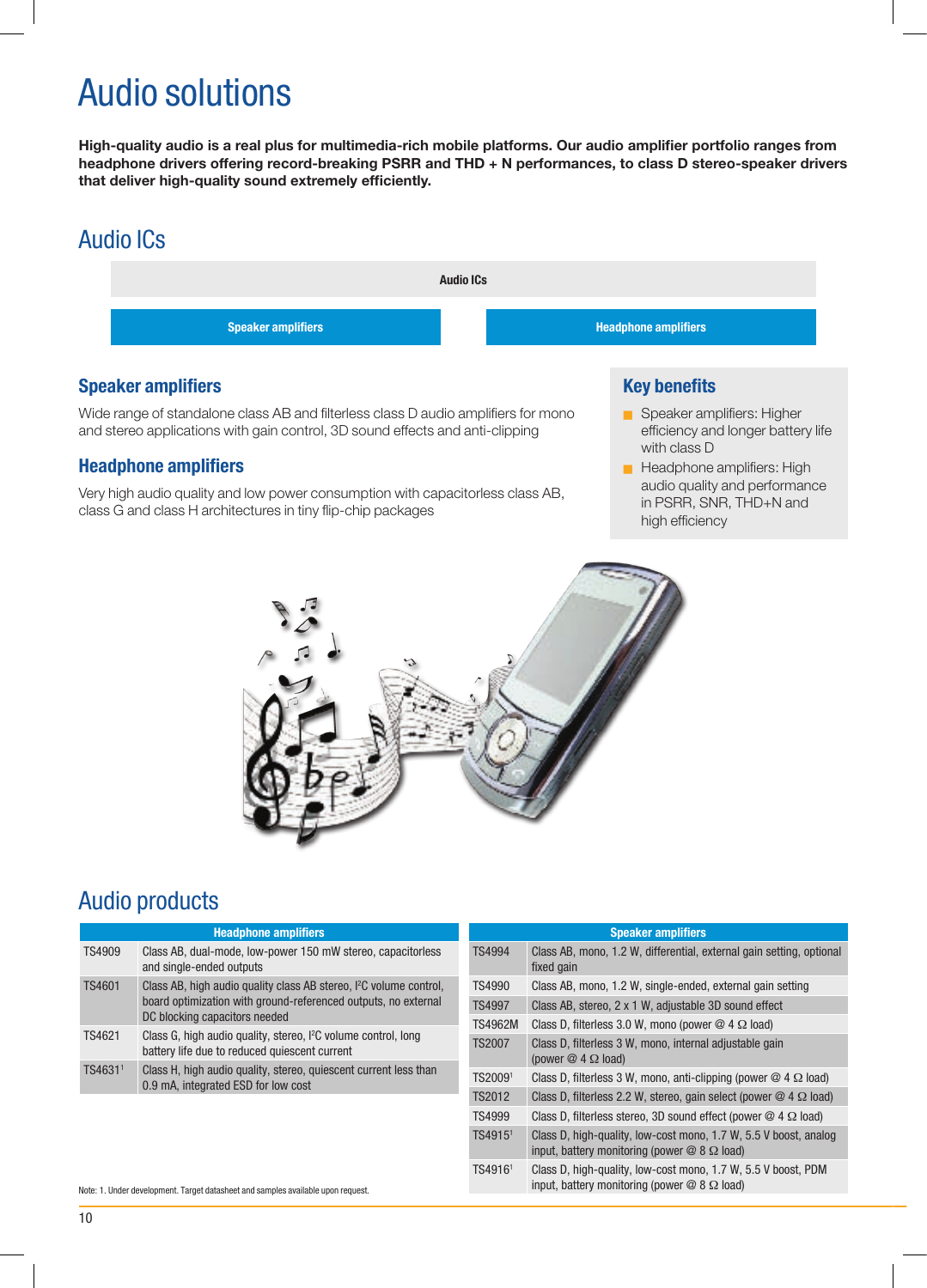## Audio solutions

**High-quality audio is a real plus for multimedia-rich mobile platforms. Our audio amplifier portfolio ranges from headphone drivers offering record-breaking PSRR and THD + N performances, to class D stereo-speaker drivers that deliver high-quality sound extremely efficiently.**

### Audio ICs



#### **Speaker amplifiers**

Wide range of standalone class AB and filterless class D audio amplifiers for mono and stereo applications with gain control, 3D sound effects and anti-clipping

#### **Headphone amplifiers**

Very high audio quality and low power consumption with capacitorless class AB, class G and class H architectures in tiny flip-chip packages

#### **Key benefits**

input, battery monitoring (power  $@ 8 \Omega$  load)

- Speaker amplifiers: Higher efficiency and longer battery life with class D
- **Headphone amplifiers: High** audio quality and performance in PSRR, SNR, THD+N and high efficiency



## Audio products

|                                                                                                                                | <b>Headphone amplifiers</b>                                                                                               |                                                                                    | <b>Speaker amplifiers</b>                                                                                               |
|--------------------------------------------------------------------------------------------------------------------------------|---------------------------------------------------------------------------------------------------------------------------|------------------------------------------------------------------------------------|-------------------------------------------------------------------------------------------------------------------------|
| <b>TS4909</b>                                                                                                                  | Class AB, dual-mode, low-power 150 mW stereo, capacitorless<br>and single-ended outputs                                   | <b>TS4994</b>                                                                      | Class AB, mono, 1.2 W, differential, external gain setting, optional<br>fixed gain                                      |
| TS4601<br>Class AB, high audio quality class AB stereo, <sup>2</sup> C volume control,                                         |                                                                                                                           | TS4990                                                                             | Class AB, mono, 1.2 W, single-ended, external gain setting                                                              |
|                                                                                                                                | board optimization with ground-referenced outputs, no external                                                            | <b>TS4997</b>                                                                      | Class AB, stereo, 2 x 1 W, adjustable 3D sound effect                                                                   |
|                                                                                                                                | DC blocking capacitors needed                                                                                             | TS4962M                                                                            | Class D. filterless 3.0 W. mono (power $@$ 4 $\Omega$ load)                                                             |
| TS4621                                                                                                                         | Class G, high audio quality, stereo, <sup>2</sup> C volume control, long<br>battery life due to reduced quiescent current | <b>TS2007</b>                                                                      | Class D, filterless 3 W, mono, internal adjustable gain<br>(power $@$ 4 $\Omega$ load)                                  |
| Class H, high audio quality, stereo, quiescent current less than<br>TS4631 <sup>1</sup><br>0.9 mA, integrated ESD for low cost | TS2009 <sup>1</sup>                                                                                                       | Class D, filterless 3 W, mono, anti-clipping (power $\mathcal{Q}$ 4 $\Omega$ load) |                                                                                                                         |
|                                                                                                                                | <b>TS2012</b>                                                                                                             | Class D, filterless 2.2 W, stereo, gain select (power $@$ 4 $\Omega$ load)         |                                                                                                                         |
|                                                                                                                                |                                                                                                                           | <b>TS4999</b>                                                                      | Class D, filterless stereo, 3D sound effect (power $@$ 4 $\Omega$ load)                                                 |
|                                                                                                                                |                                                                                                                           | TS4915 <sup>1</sup>                                                                | Class D, high-quality, low-cost mono, 1.7 W, 5.5 V boost, analog<br>input, battery monitoring (power $@ 8 \Omega$ load) |
|                                                                                                                                |                                                                                                                           | TS4916 <sup>1</sup>                                                                | Class D, high-quality, low-cost mono, 1.7 W, 5.5 V boost, PDM                                                           |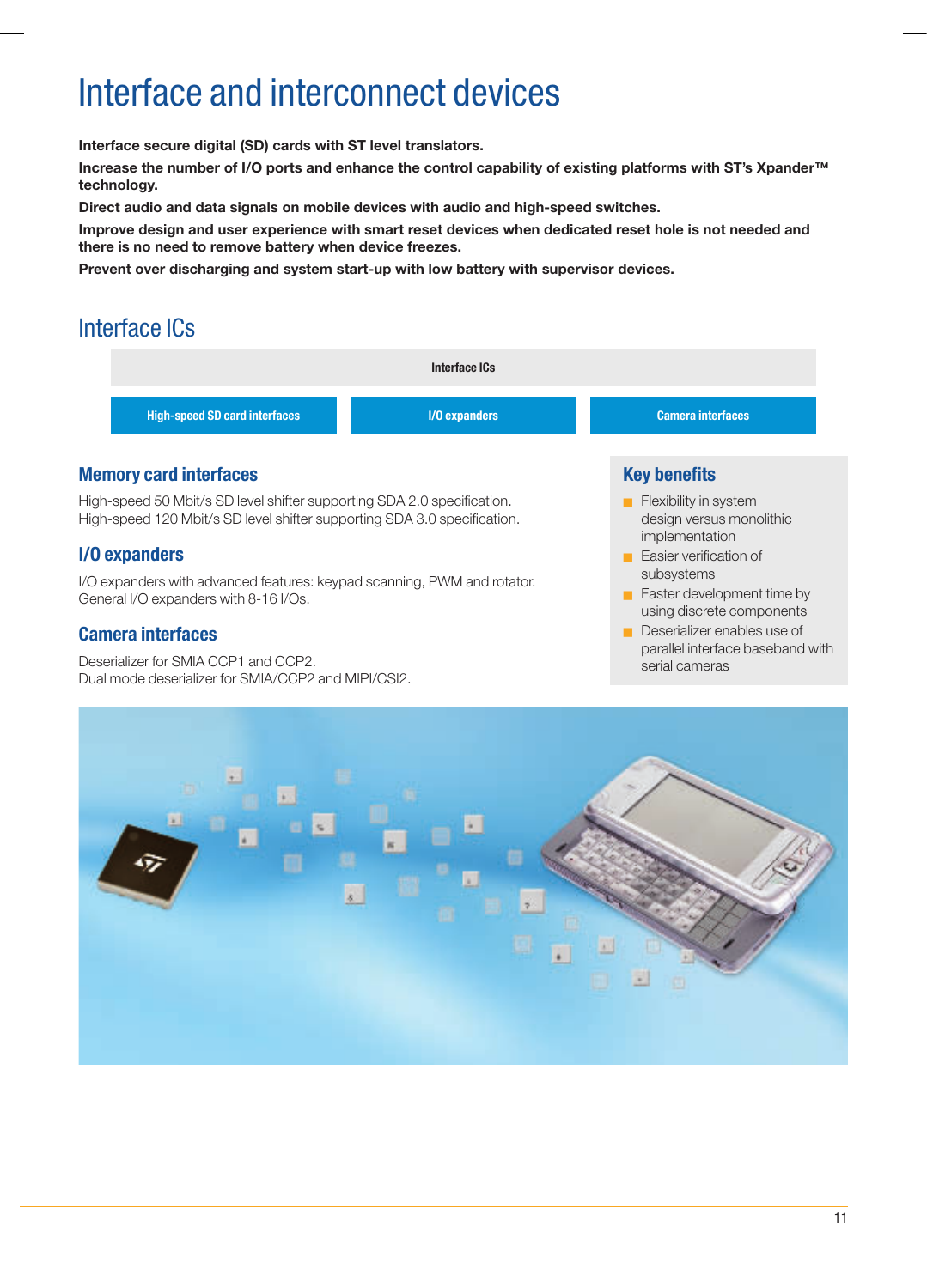## Interface and interconnect devices

**Interface secure digital (SD) cards with ST level translators.**

**Increase the number of I/O ports and enhance the control capability of existing platforms with ST's Xpander™ technology.**

**Direct audio and data signals on mobile devices with audio and high-speed switches.**

**Improve design and user experience with smart reset devices when dedicated reset hole is not needed and there is no need to remove battery when device freezes.**

**Prevent over discharging and system start-up with low battery with supervisor devices.**

### Interface ICs



High-speed 50 Mbit/s SD level shifter supporting SDA 2.0 specification. High-speed 120 Mbit/s SD level shifter supporting SDA 3.0 specification.

#### **I/O expanders**

I/O expanders with advanced features: keypad scanning, PWM and rotator. General I/O expanders with 8-16 I/Os.

#### **Camera interfaces**

Deserializer for SMIA CCP1 and CCP2. Dual mode deserializer for SMIA/CCP2 and MIPI/CSI2.

- $\blacksquare$  Flexibility in system design versus monolithic implementation
- **Easier verification of** subsystems
- $\blacksquare$  Faster development time by using discrete components
- **Deserializer enables use of** parallel interface baseband with serial cameras

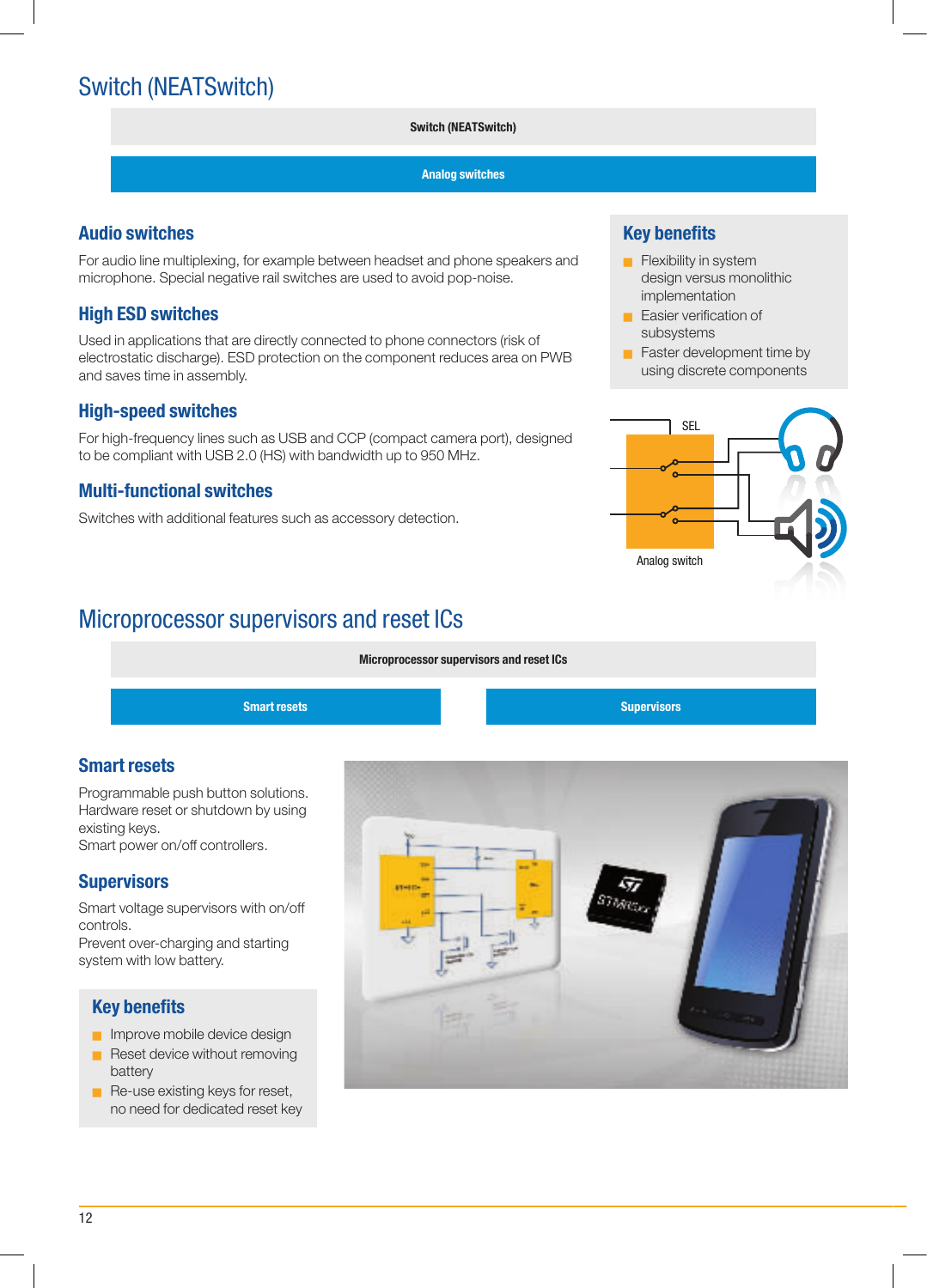## Switch (NEATSwitch)

#### **Switch (NEATSwitch)**

#### **Analog switches**

#### **Audio switches**

For audio line multiplexing, for example between headset and phone speakers and microphone. Special negative rail switches are used to avoid pop-noise.

#### **High ESD switches**

Used in applications that are directly connected to phone connectors (risk of electrostatic discharge). ESD protection on the component reduces area on PWB and saves time in assembly.

#### **High-speed switches**

For high-frequency lines such as USB and CCP (compact camera port), designed to be compliant with USB 2.0 (HS) with bandwidth up to 950 MHz.

#### **Multi-functional switches**

Switches with additional features such as accessory detection.

#### **Key benefits**

- **Flexibility in system** design versus monolithic implementation
- **Easier verification of** subsystems
- $\blacksquare$  Faster development time by using discrete components



## Microprocessor supervisors and reset ICs





#### **Smart resets**

Programmable push button solutions. Hardware reset or shutdown by using existing keys.

Smart power on/off controllers.

#### **Supervisors**

Smart voltage supervisors with on/off controls.

Prevent over-charging and starting system with low battery.

- **Improve mobile device design**
- $\blacksquare$  Reset device without removing battery
- $\blacksquare$  Re-use existing keys for reset, no need for dedicated reset key

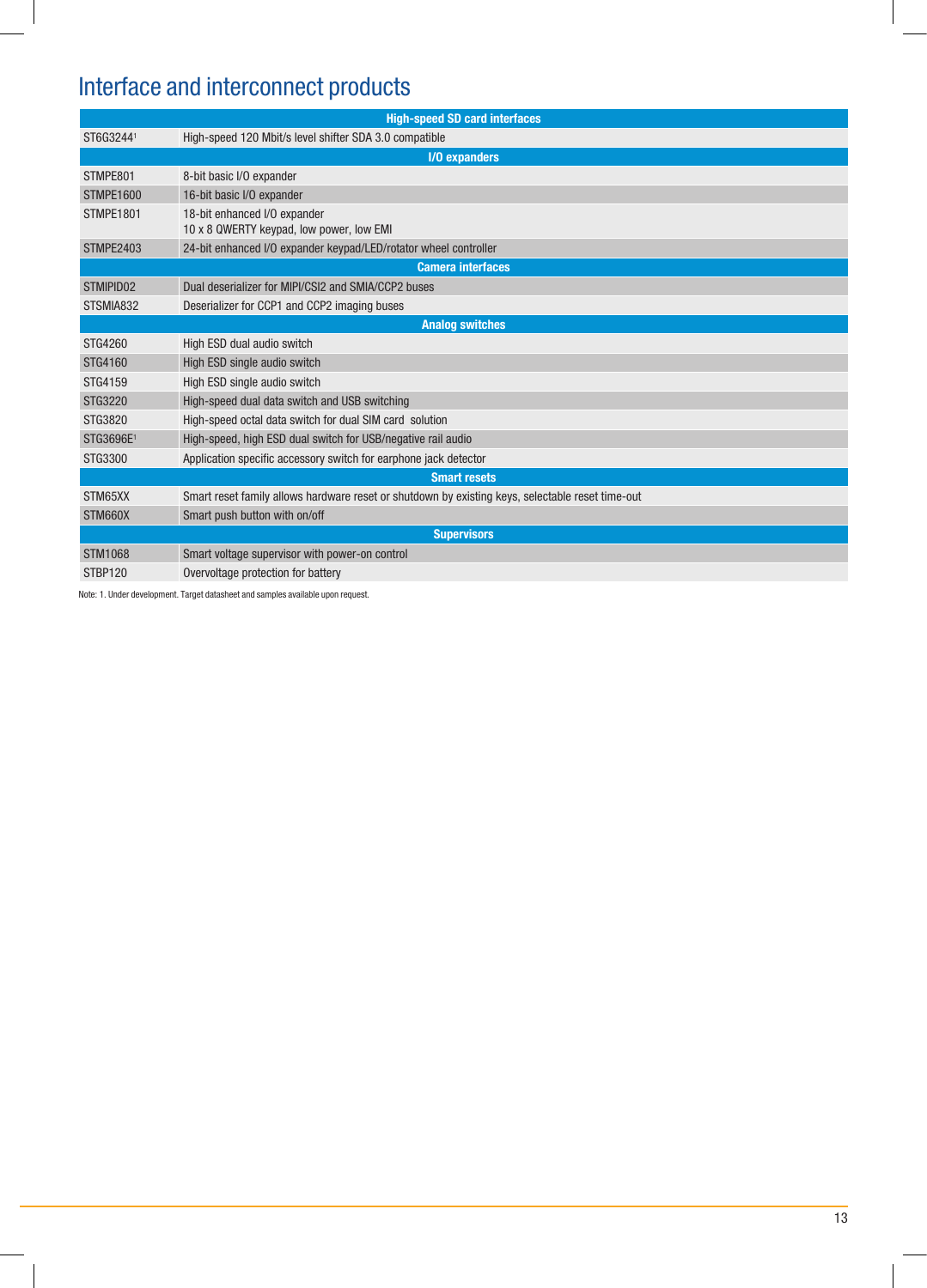## Interface and interconnect products

| <b>High-speed SD card interfaces</b> |                                                                                                  |  |  |
|--------------------------------------|--------------------------------------------------------------------------------------------------|--|--|
| ST6G32441                            | High-speed 120 Mbit/s level shifter SDA 3.0 compatible                                           |  |  |
|                                      | I/O expanders                                                                                    |  |  |
| STMPE801                             | 8-bit basic I/O expander                                                                         |  |  |
| STMPE1600                            | 16-bit basic I/O expander                                                                        |  |  |
| STMPE1801                            | 18-bit enhanced I/O expander<br>10 x 8 QWERTY keypad, low power, low EMI                         |  |  |
| STMPE2403                            | 24-bit enhanced I/O expander keypad/LED/rotator wheel controller                                 |  |  |
|                                      | <b>Camera interfaces</b>                                                                         |  |  |
| STMIPID02                            | Dual deserializer for MIPI/CSI2 and SMIA/CCP2 buses                                              |  |  |
| STSMIA832                            | Deserializer for CCP1 and CCP2 imaging buses                                                     |  |  |
| <b>Analog switches</b>               |                                                                                                  |  |  |
| STG4260                              | High ESD dual audio switch                                                                       |  |  |
| STG4160                              | High ESD single audio switch                                                                     |  |  |
| STG4159                              | High ESD single audio switch                                                                     |  |  |
| STG3220                              | High-speed dual data switch and USB switching                                                    |  |  |
| STG3820                              | High-speed octal data switch for dual SIM card solution                                          |  |  |
| STG3696E1                            | High-speed, high ESD dual switch for USB/negative rail audio                                     |  |  |
| STG3300                              | Application specific accessory switch for earphone jack detector                                 |  |  |
| <b>Smart resets</b>                  |                                                                                                  |  |  |
| STM65XX                              | Smart reset family allows hardware reset or shutdown by existing keys, selectable reset time-out |  |  |
| STM660X                              | Smart push button with on/off                                                                    |  |  |
|                                      | <b>Supervisors</b>                                                                               |  |  |
| STM1068                              | Smart voltage supervisor with power-on control                                                   |  |  |
| STBP120                              | Overvoltage protection for battery                                                               |  |  |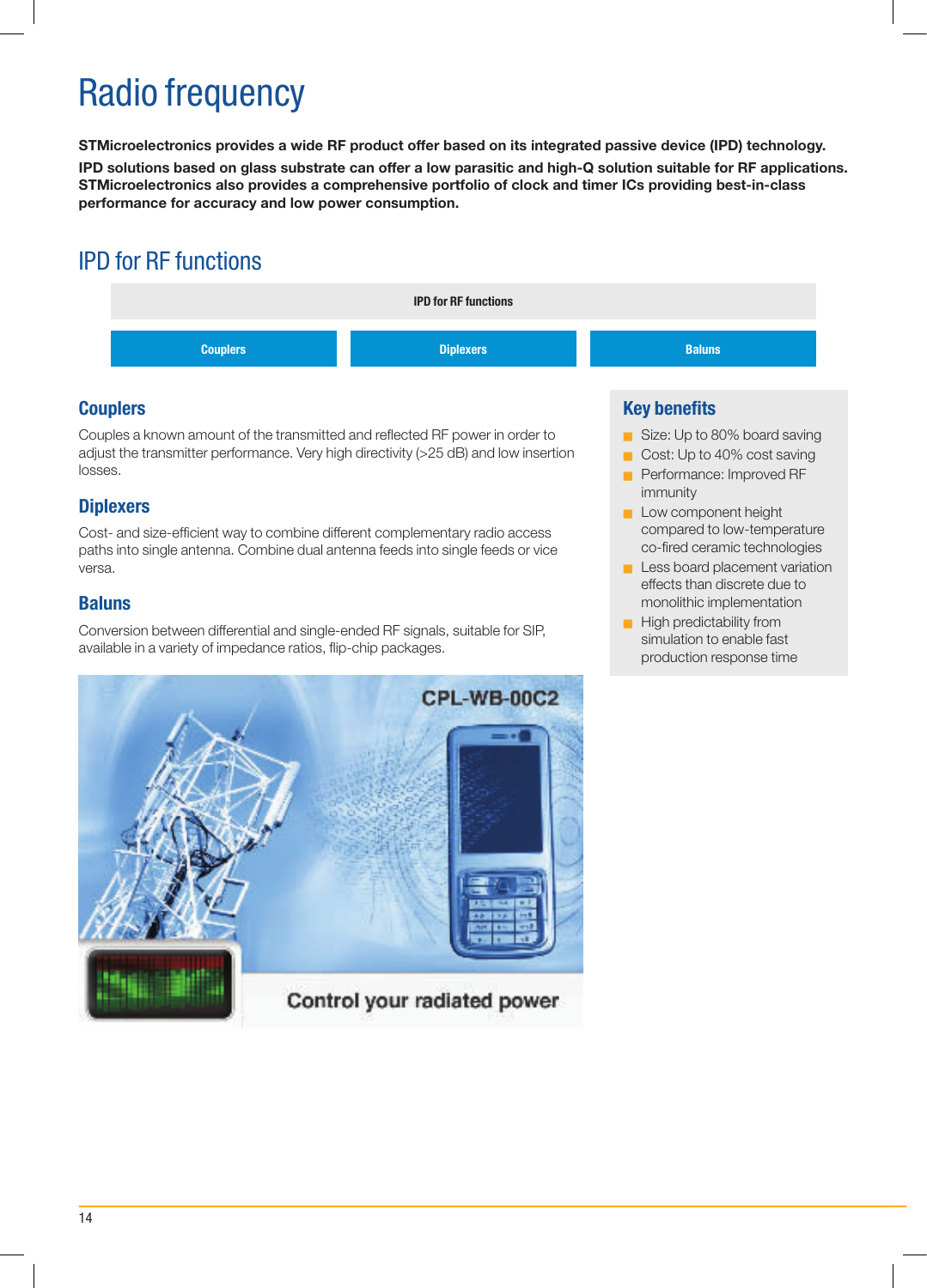# Radio frequency

**STMicroelectronics provides a wide RF product offer based on its integrated passive device (IPD) technology.**

**IPD solutions based on glass substrate can offer a low parasitic and high-Q solution suitable for RF applications. STMicroelectronics also provides a comprehensive portfolio of clock and timer ICs providing best-in-class performance for accuracy and low power consumption.**

## IPD for RF functions



### **Couplers**

Couples a known amount of the transmitted and reflected RF power in order to adjust the transmitter performance. Very high directivity (>25 dB) and low insertion losses.

#### **Diplexers**

Cost- and size-efficient way to combine different complementary radio access paths into single antenna. Combine dual antenna feeds into single feeds or vice versa.

#### **Baluns**

Conversion between differential and single-ended RF signals, suitable for SIP, available in a variety of impedance ratios, flip-chip packages.



- Size: Up to 80% board saving
- Cost: Up to 40% cost saving Performance: Improved RF immunity
- **Low component height** compared to low-temperature co-fired ceramic technologies
- **L** Less board placement variation effects than discrete due to monolithic implementation
- $\blacksquare$  High predictability from simulation to enable fast production response time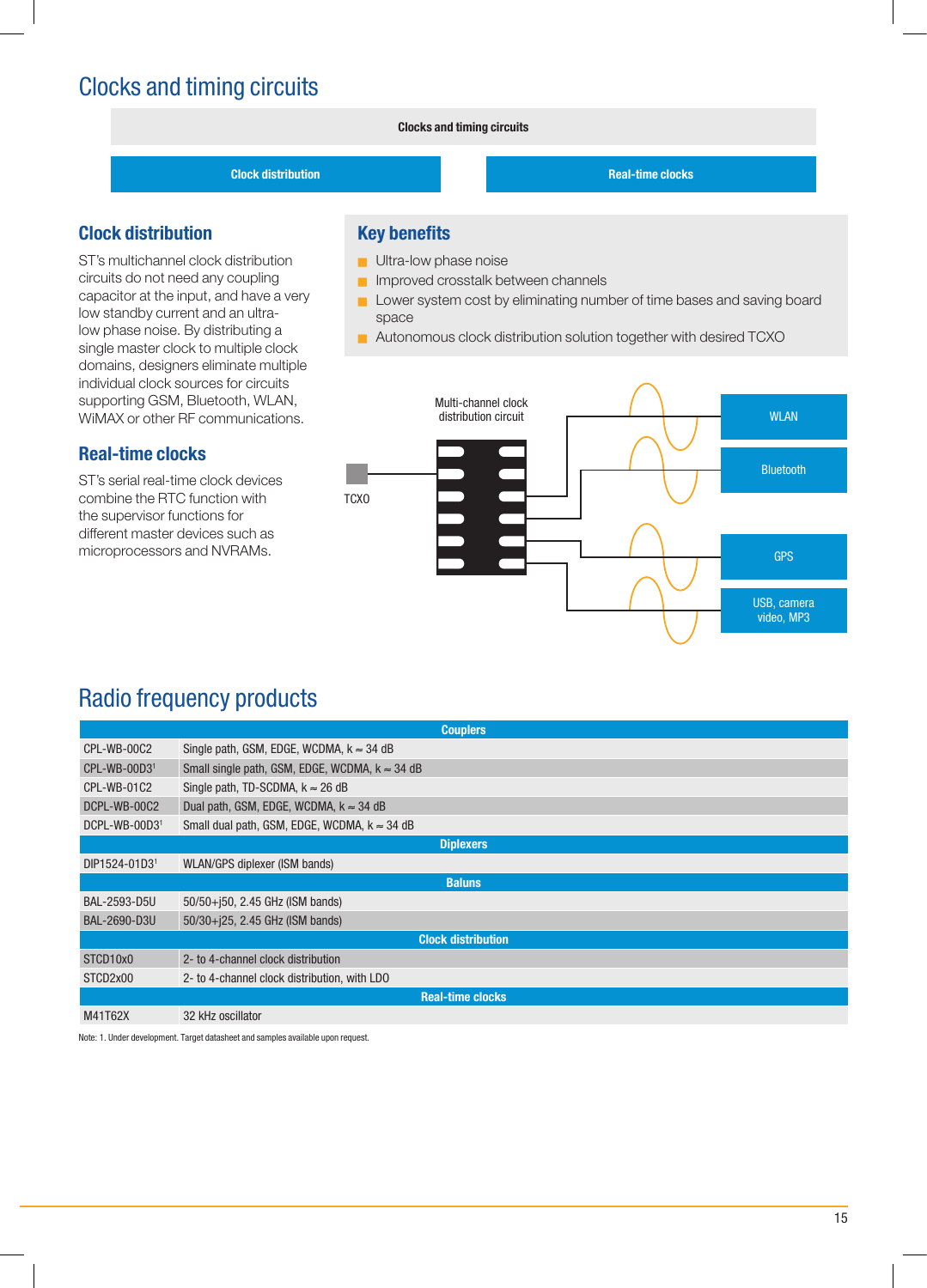## Clocks and timing circuits

#### **Clocks and timing circuits**

#### **Clock distribution Real-time clocks**

#### **Clock distribution**

ST's multichannel clock distribution circuits do not need any coupling capacitor at the input, and have a very low standby current and an ultralow phase noise. By distributing a single master clock to multiple clock domains, designers eliminate multiple individual clock sources for circuits supporting GSM, Bluetooth, WLAN, WiMAX or other RF communications.

#### **Real-time clocks**

ST's serial real-time clock devices combine the RTC function with the supervisor functions for different master devices such as microprocessors and NVRAMs.

#### **Key benefits**

- $\blacksquare$  Ultra-low phase noise
- **D** Improved crosstalk between channels
- Lower system cost by eliminating number of time bases and saving board space
- Autonomous clock distribution solution together with desired TCXO



### Radio frequency products

| <b>Couplers</b> |                                                        |  |
|-----------------|--------------------------------------------------------|--|
| CPL-WB-00C2     | Single path, GSM, EDGE, WCDMA, $k \approx 34$ dB       |  |
| $CPL-WB-00D31$  | Small single path, GSM, EDGE, WCDMA, $k \approx 34$ dB |  |
| CPL-WB-01C2     | Single path, TD-SCDMA, $k \approx 26$ dB               |  |
| DCPL-WB-00C2    | Dual path, GSM, EDGE, WCDMA, $k \approx 34$ dB         |  |
| DCPL-WB-00D31   | Small dual path, GSM, EDGE, WCDMA, $k \approx 34$ dB   |  |
|                 | <b>Diplexers</b>                                       |  |
| DIP1524-01D31   | WLAN/GPS diplexer (ISM bands)                          |  |
|                 | <b>Baluns</b>                                          |  |
| BAL-2593-D5U    | $50/50 + i50$ , 2.45 GHz (ISM bands)                   |  |
| BAL-2690-D3U    | 50/30+j25, 2.45 GHz (ISM bands)                        |  |
|                 | <b>Clock distribution</b>                              |  |
| STCD10x0        | 2- to 4-channel clock distribution                     |  |
| STCD2x00        | 2- to 4-channel clock distribution, with LDO           |  |
|                 | <b>Real-time clocks</b>                                |  |
| M41T62X         | 32 kHz oscillator                                      |  |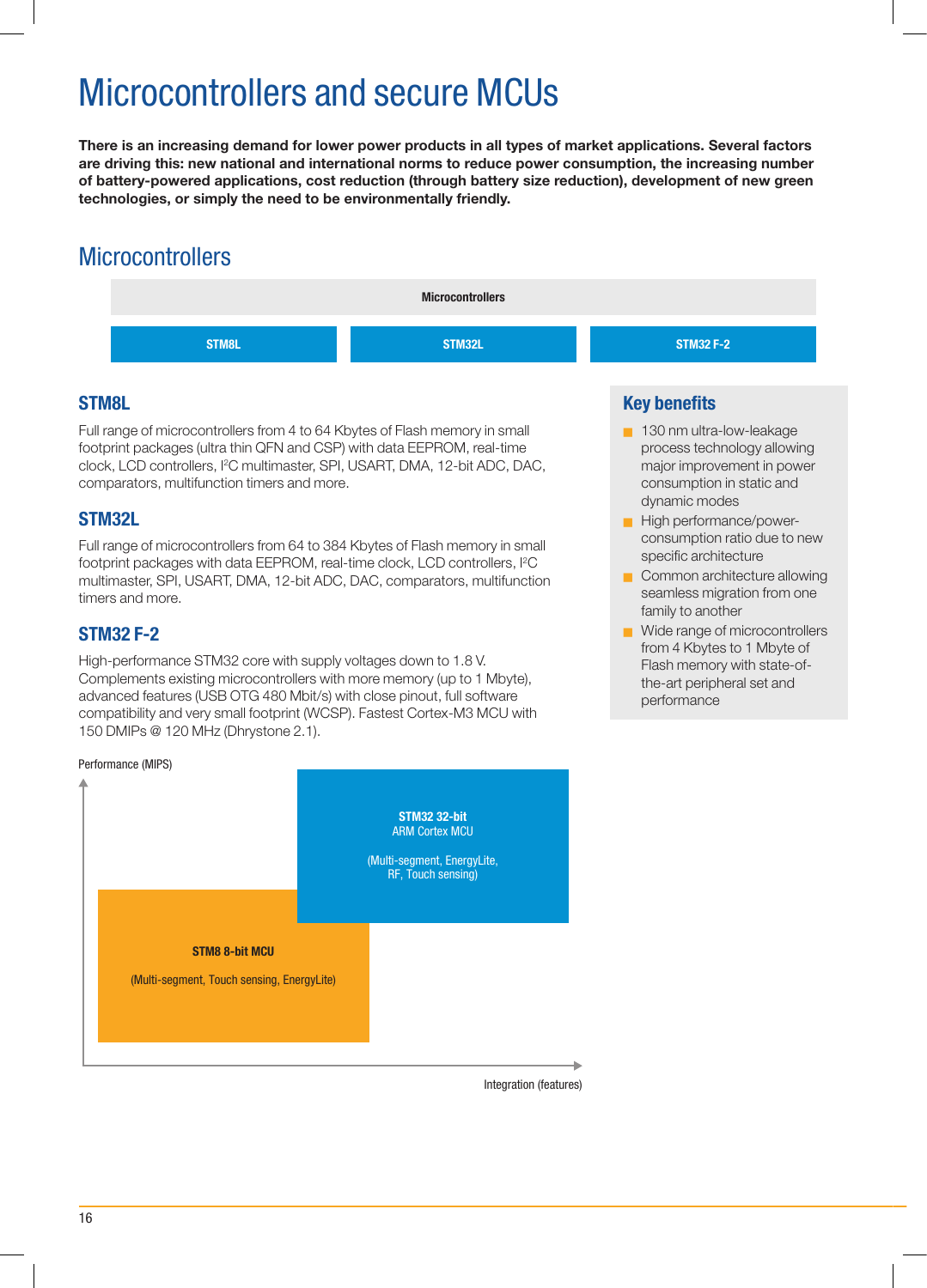## Microcontrollers and secure MCUs

**There is an increasing demand for lower power products in all types of market applications. Several factors are driving this: new national and international norms to reduce power consumption, the increasing number of battery-powered applications, cost reduction (through battery size reduction), development of new green technologies, or simply the need to be environmentally friendly.**

## **Microcontrollers**



#### **STM8L**

Full range of microcontrollers from 4 to 64 Kbytes of Flash memory in small footprint packages (ultra thin QFN and CSP) with data EEPROM, real-time clock, LCD controllers, I2 C multimaster, SPI, USART, DMA, 12-bit ADC, DAC, comparators, multifunction timers and more.

#### **STM32L**

Full range of microcontrollers from 64 to 384 Kbytes of Flash memory in small footprint packages with data EEPROM, real-time clock, LCD controllers, I<sup>2</sup>C multimaster, SPI, USART, DMA, 12-bit ADC, DAC, comparators, multifunction timers and more.

#### **STM32 F-2**

High-performance STM32 core with supply voltages down to 1.8 V. Complements existing microcontrollers with more memory (up to 1 Mbyte), advanced features (USB OTG 480 Mbit/s) with close pinout, full software compatibility and very small footprint (WCSP). Fastest Cortex-M3 MCU with 150 DMIPs @ 120 MHz (Dhrystone 2.1).

#### Performance (MIPS)



Integration (features)

- **130 nm ultra-low-leakage** process technology allowing major improvement in power consumption in static and dynamic modes
- High performance/powerconsumption ratio due to new specific architecture
- $\Box$  Common architecture allowing seamless migration from one family to another
- Wide range of microcontrollers from 4 Kbytes to 1 Mbyte of Flash memory with state-ofthe-art peripheral set and performance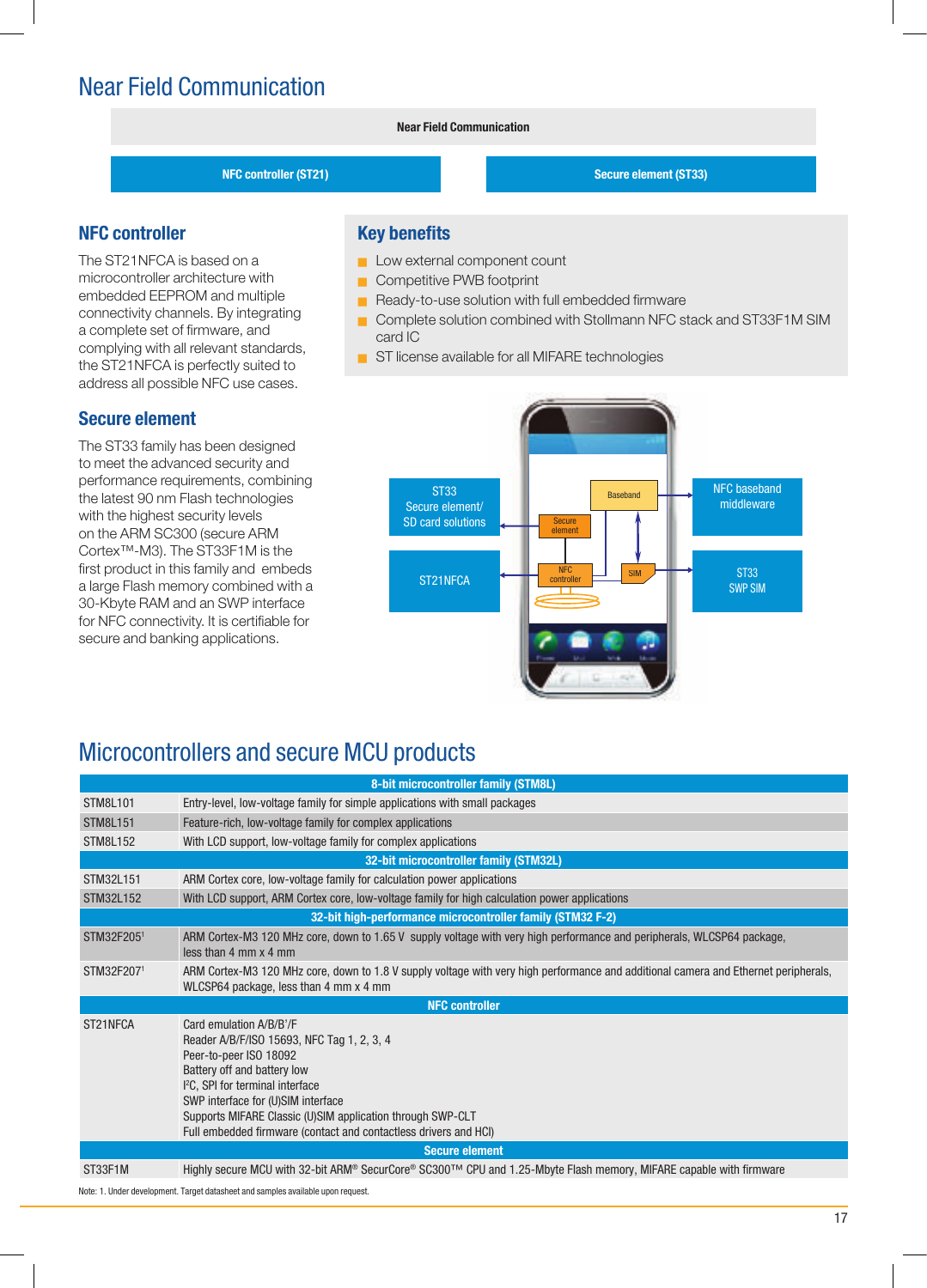## Near Field Communication

#### **Near Field Communication**

**NFC controller (ST21) Secure element (ST33)**

#### **NFC controller**

The ST21NFCA is based on a microcontroller architecture with embedded EEPROM and multiple connectivity channels. By integrating a complete set of firmware, and complying with all relevant standards, the ST21NFCA is perfectly suited to address all possible NFC use cases.

#### **Secure element**

The ST33 family has been designed to meet the advanced security and performance requirements, combining the latest 90 nm Flash technologies with the highest security levels on the ARM SC300 (secure ARM Cortex™-M3). The ST33F1M is the first product in this family and embeds a large Flash memory combined with a 30-Kbyte RAM and an SWP interface for NFC connectivity. It is certifiable for secure and banking applications.

#### **Key benefits**

- **Low external component count**
- Competitive PWB footprint
- Ready-to-use solution with full embedded firmware
- Complete solution combined with Stollmann NFC stack and ST33F1M SIM card IC
- ST license available for all MIFARE technologies



## Microcontrollers and secure MCU products

|                 | 8-bit microcontroller family (STM8L)                                                                                                                                                                                                                                                                                                                 |
|-----------------|------------------------------------------------------------------------------------------------------------------------------------------------------------------------------------------------------------------------------------------------------------------------------------------------------------------------------------------------------|
| <b>STM8L101</b> | Entry-level, low-voltage family for simple applications with small packages                                                                                                                                                                                                                                                                          |
| <b>STM8L151</b> | Feature-rich, low-voltage family for complex applications                                                                                                                                                                                                                                                                                            |
| <b>STM8L152</b> | With LCD support, low-voltage family for complex applications                                                                                                                                                                                                                                                                                        |
|                 | 32-bit microcontroller family (STM32L)                                                                                                                                                                                                                                                                                                               |
| STM32L151       | ARM Cortex core, low-voltage family for calculation power applications                                                                                                                                                                                                                                                                               |
| STM32L152       | With LCD support, ARM Cortex core, low-voltage family for high calculation power applications                                                                                                                                                                                                                                                        |
|                 | 32-bit high-performance microcontroller family (STM32 F-2)                                                                                                                                                                                                                                                                                           |
| STM32F2051      | ARM Cortex-M3 120 MHz core, down to 1.65 V supply voltage with very high performance and peripherals, WLCSP64 package,<br>less than 4 mm x 4 mm                                                                                                                                                                                                      |
| STM32F2071      | ARM Cortex-M3 120 MHz core, down to 1.8 V supply voltage with very high performance and additional camera and Ethernet peripherals,<br>WLCSP64 package, less than 4 mm x 4 mm                                                                                                                                                                        |
|                 | <b>NFC controller</b>                                                                                                                                                                                                                                                                                                                                |
| ST21NFCA        | Card emulation A/B/B'/F<br>Reader A/B/F/ISO 15693, NFC Tag 1, 2, 3, 4<br>Peer-to-peer ISO 18092<br>Battery off and battery low<br><sup>2</sup> C, SPI for terminal interface<br>SWP interface for (U)SIM interface<br>Supports MIFARE Classic (U)SIM application through SWP-CLT<br>Full embedded firmware (contact and contactless drivers and HCI) |
|                 | <b>Secure element</b>                                                                                                                                                                                                                                                                                                                                |
| ST33F1M         | Highly secure MCU with 32-bit ARM® SecurCore® SC300™ CPU and 1.25-Mbyte Flash memory, MIFARE capable with firmware                                                                                                                                                                                                                                   |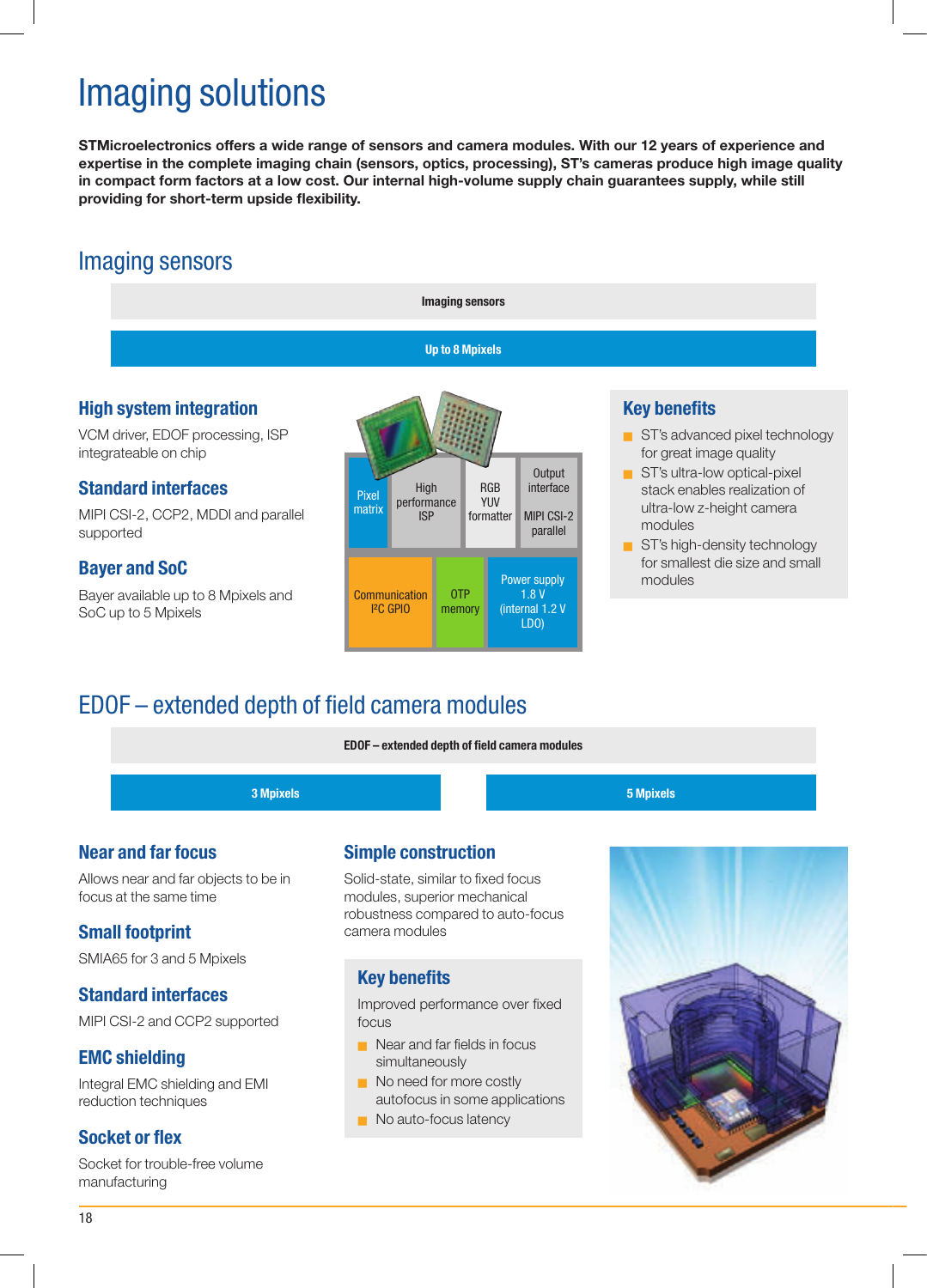## Imaging solutions

**STMicroelectronics offers a wide range of sensors and camera modules. With our 12 years of experience and expertise in the complete imaging chain (sensors, optics, processing), ST's cameras produce high image quality in compact form factors at a low cost. Our internal high-volume supply chain guarantees supply, while still providing for short-term upside flexibility.**

### Imaging sensors



## EDOF – extended depth of field camera modules

**EDOF – extended depth of field camera modules**

LDO)

#### **3 Mpixels 5 Mpixels**



#### **Near and far focus**

Allows near and far objects to be in focus at the same time

#### **Small footprint**

SMIA65 for 3 and 5 Mpixels

#### **Standard interfaces**

MIPI CSI-2 and CCP2 supported

#### **EMC shielding**

Integral EMC shielding and EMI reduction techniques

#### **Socket or flex**

Socket for trouble-free volume manufacturing

#### **Simple construction**

Solid-state, similar to fixed focus modules, superior mechanical robustness compared to auto-focus camera modules

#### **Key benefits**

Improved performance over fixed focus

- $\blacksquare$  Near and far fields in focus simultaneously
- $\blacksquare$  No need for more costly autofocus in some applications
- $\blacksquare$  No auto-focus latency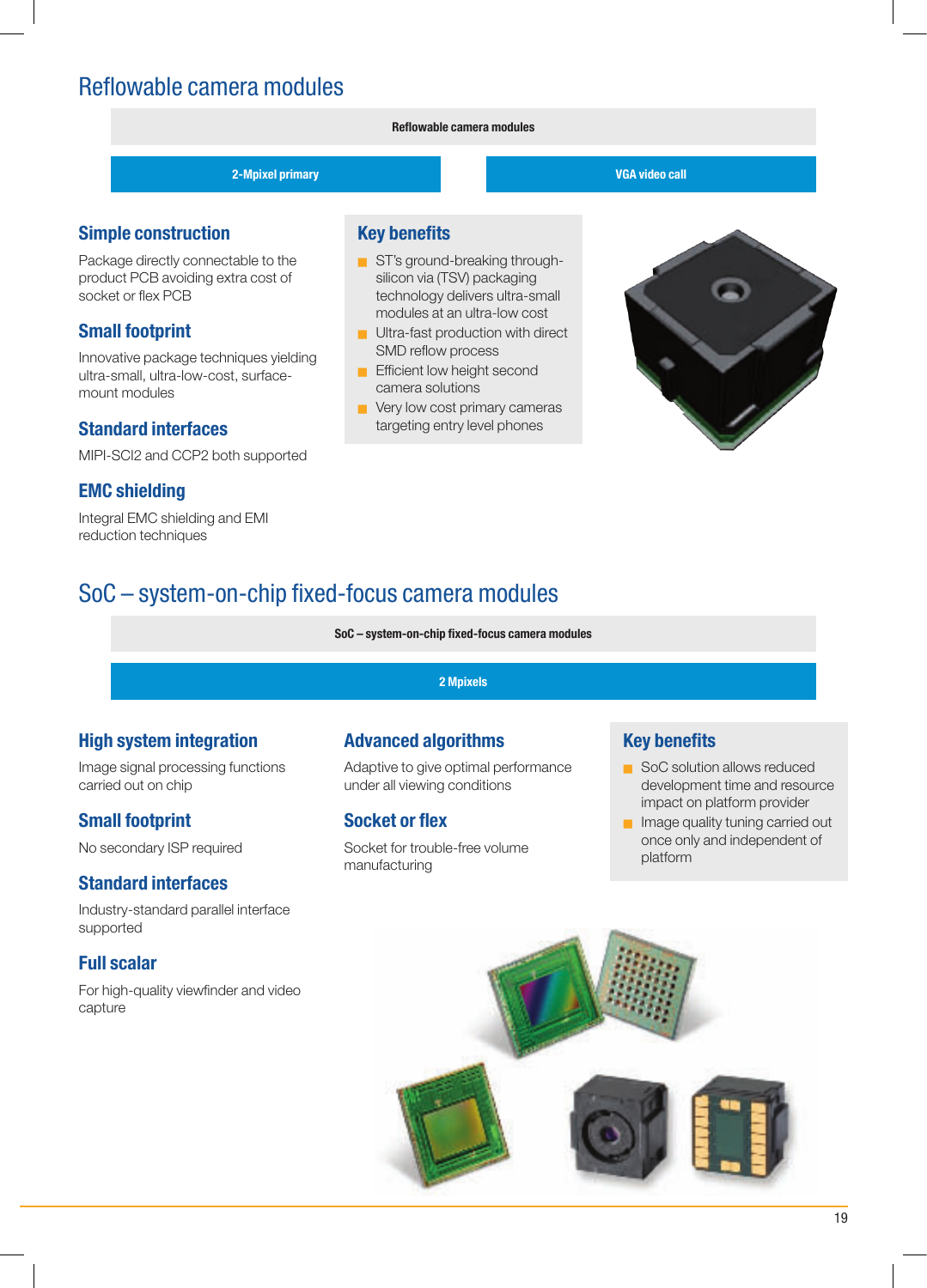## Reflowable camera modules

#### **Reflowable camera modules**

**2-Mpixel primary VGA video call** 

#### **Simple construction**

Package directly connectable to the product PCB avoiding extra cost of socket or flex PCB

### **Small footprint**

Innovative package techniques yielding ultra-small, ultra-low-cost, surfacemount modules

#### **Standard interfaces**

MIPI-SCI2 and CCP2 both supported

#### **EMC shielding**

Integral EMC shielding and EMI reduction techniques

#### **Key benefits**

- ST's ground-breaking throughsilicon via (TSV) packaging technology delivers ultra-small modules at an ultra-low cost
- $\blacksquare$  Ultra-fast production with direct SMD reflow process
- **Efficient low height second** camera solutions
- $\blacksquare$  Very low cost primary cameras targeting entry level phones



## SoC – system-on-chip fixed-focus camera modules

**SoC – system-on-chip fixed-focus camera modules**

#### **2 Mpixels**

#### **High system integration**

Image signal processing functions carried out on chip

#### **Small footprint**

No secondary ISP required

#### **Standard interfaces**

Industry-standard parallel interface supported

#### **Full scalar**

For high-quality viewfinder and video capture

#### **Advanced algorithms**

Adaptive to give optimal performance under all viewing conditions

### **Socket or flex**

Socket for trouble-free volume manufacturing

- SoC solution allows reduced development time and resource impact on platform provider
- **n** Image quality tuning carried out once only and independent of platform

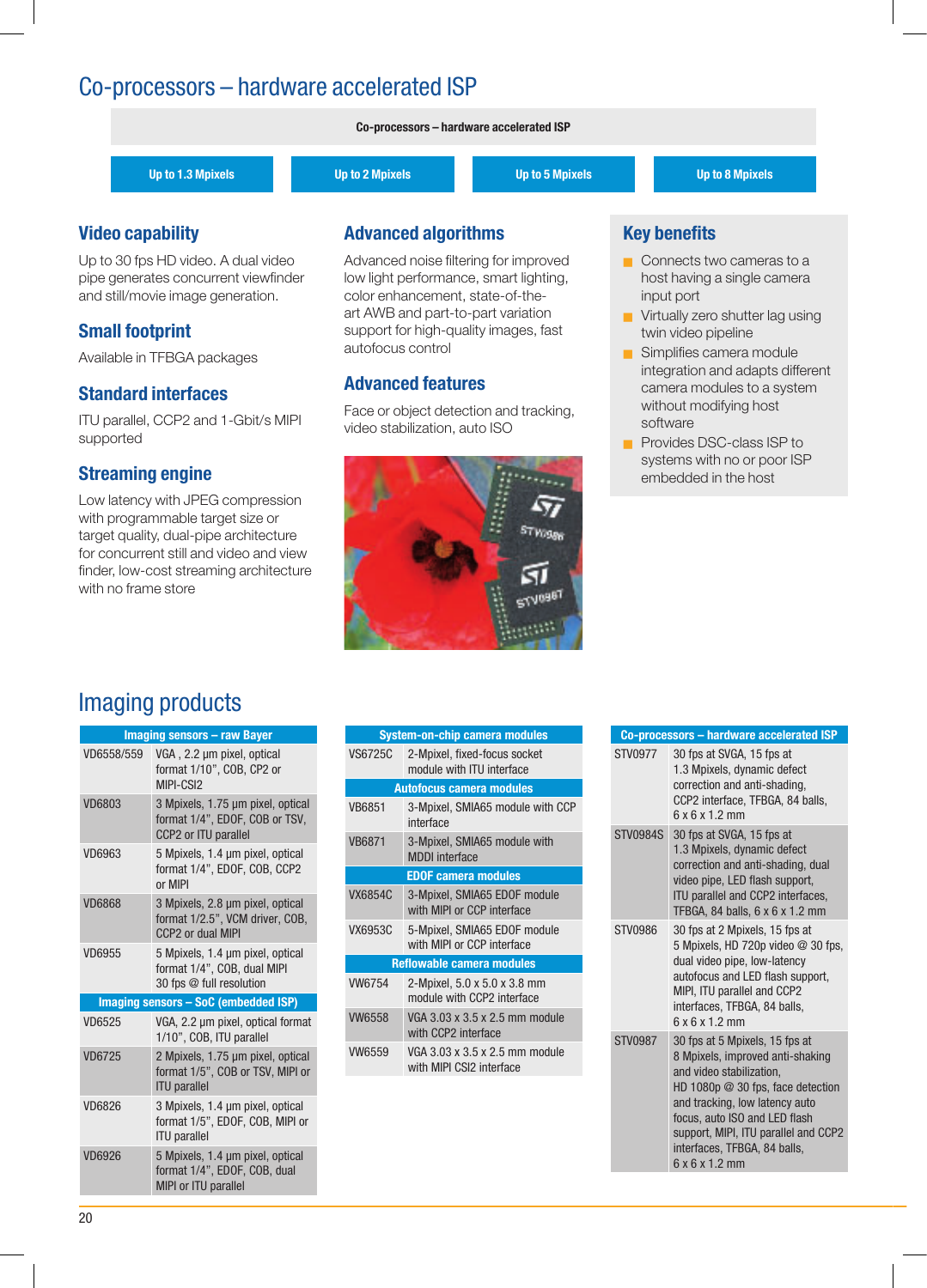## Co-processors – hardware accelerated ISP

**Co-processors – hardware accelerated ISP**

| Up to 1.3 Mpixels | Up to 2 Mpixels | Up to 5 Mpixels | <b>Up to 8 Mpixels</b> |
|-------------------|-----------------|-----------------|------------------------|
|                   |                 |                 |                        |

#### **Video capability**

Up to 30 fps HD video. A dual video pipe generates concurrent viewfinder and still/movie image generation.

#### **Small footprint**

Available in TFBGA packages

#### **Standard interfaces**

ITU parallel, CCP2 and 1-Gbit/s MIPI supported

#### **Streaming engine**

Low latency with JPEG compression with programmable target size or target quality, dual-pipe architecture for concurrent still and video and view finder, low-cost streaming architecture with no frame store

#### **Advanced algorithms**

Advanced noise filtering for improved low light performance, smart lighting, color enhancement, state-of-theart AWB and part-to-part variation support for high-quality images, fast autofocus control

#### **Advanced features**

Face or object detection and tracking, video stabilization, auto ISO



#### **Key benefits**

- $\Box$  Connects two cameras to a host having a single camera input port
- $\blacksquare$  Virtually zero shutter lag using twin video pipeline
- Simplifies camera module integration and adapts different camera modules to a system without modifying host software
- **Provides DSC-class ISP to** systems with no or poor ISP embedded in the host

## Imaging products

|               | <b>Imaging sensors - raw Bayer</b>                                                                 |
|---------------|----------------------------------------------------------------------------------------------------|
| VD6558/559    | VGA, 2.2 µm pixel, optical<br>format 1/10", COB, CP2 or<br>MIPI-CSI2                               |
| <b>VD6803</b> | 3 Mpixels, 1.75 µm pixel, optical<br>format 1/4", EDOF, COB or TSV,<br><b>CCP2 or ITU parallel</b> |
| VD6963        | 5 Moixels, 1.4 um pixel, optical<br>format 1/4". EDOF. COB. CCP2<br>or MIPI                        |
| <b>VD6868</b> | 3 Mpixels, 2.8 µm pixel, optical<br>format 1/2.5", VCM driver, COB,<br>CCP2 or dual MIPI           |
| <b>VD6955</b> | 5 Mpixels, 1.4 µm pixel, optical<br>format 1/4", COB, dual MIPI<br>30 fps @ full resolution        |
|               | <b>Imaging sensors - SoC (embedded ISP)</b>                                                        |
| VD6525        | VGA, 2.2 µm pixel, optical format<br>1/10", COB, ITU parallel                                      |
| <b>VD6725</b> | 2 Moixels, 1.75 um pixel, optical<br>format 1/5", COB or TSV, MIPI or<br><b>ITU</b> parallel       |
| VD6826        | 3 Mpixels, 1.4 µm pixel, optical<br>format 1/5", EDOF, COB, MIPI or<br><b>ITU</b> parallel         |
| <b>VD6926</b> | 5 Mpixels, 1.4 µm pixel, optical<br>format 1/4", EDOF, COB, dual<br>MIPI or ITU parallel           |

| <b>System-on-chip camera modules</b> |                                                            |  |
|--------------------------------------|------------------------------------------------------------|--|
| VS6725C                              | 2-Mpixel, fixed-focus socket<br>module with ITU interface  |  |
|                                      | <b>Autofocus camera modules</b>                            |  |
| <b>VB6851</b>                        | 3-Mpixel, SMIA65 module with CCP<br>interface              |  |
| <b>VB6871</b>                        | 3-Mpixel, SMIA65 module with<br><b>MDDI</b> interface      |  |
|                                      | <b>EDOF camera modules</b>                                 |  |
| VX6854C                              | 3-Mpixel, SMIA65 EDOF module<br>with MIPI or CCP interface |  |
| VX6953C                              | 5-Mpixel, SMIA65 EDOF module<br>with MIPI or CCP interface |  |
|                                      | <b>Reflowable camera modules</b>                           |  |
| <b>VW6754</b>                        | 2-Mpixel, 5.0 x 5.0 x 3.8 mm<br>module with CCP2 interface |  |
| <b>VW6558</b>                        | VGA 3.03 x 3.5 x 2.5 mm module<br>with CCP2 interface      |  |
| VW6559                               | VGA 3.03 x 3.5 x 2.5 mm module<br>with MIPI CSI2 interface |  |
|                                      |                                                            |  |

|                 | Co-processors - hardware accelerated ISP                                                                                                                                                                                                                                                                       |
|-----------------|----------------------------------------------------------------------------------------------------------------------------------------------------------------------------------------------------------------------------------------------------------------------------------------------------------------|
| STV0977         | 30 fps at SVGA, 15 fps at<br>1.3 Mpixels, dynamic defect<br>correction and anti-shading,<br>CCP2 interface. TFBGA, 84 balls.<br>6x6x12mm                                                                                                                                                                       |
| <b>STV0984S</b> | 30 fps at SVGA, 15 fps at<br>1.3 Mpixels, dynamic defect<br>correction and anti-shading, dual<br>video pipe, LED flash support,<br>ITU parallel and CCP2 interfaces.<br>TFBGA, 84 balls, 6 x 6 x 1.2 mm                                                                                                        |
| STV0986         | 30 fps at 2 Mpixels, 15 fps at<br>5 Mpixels, HD 720p video @ 30 fps,<br>dual video pipe, low-latency<br>autofocus and LED flash support,<br>MIPI, ITU parallel and CCP2<br>interfaces, TFBGA, 84 balls,<br>6x6x12mm                                                                                            |
| STV0987         | 30 fps at 5 Mpixels, 15 fps at<br>8 Mpixels, improved anti-shaking<br>and video stabilization.<br>HD 1080p $@$ 30 fps, face detection<br>and tracking, low latency auto<br>focus, auto ISO and LED flash<br>support, MIPI, ITU parallel and CCP2<br>interfaces, TFBGA, 84 balls,<br>$6 \times 6 \times 1.2$ mm |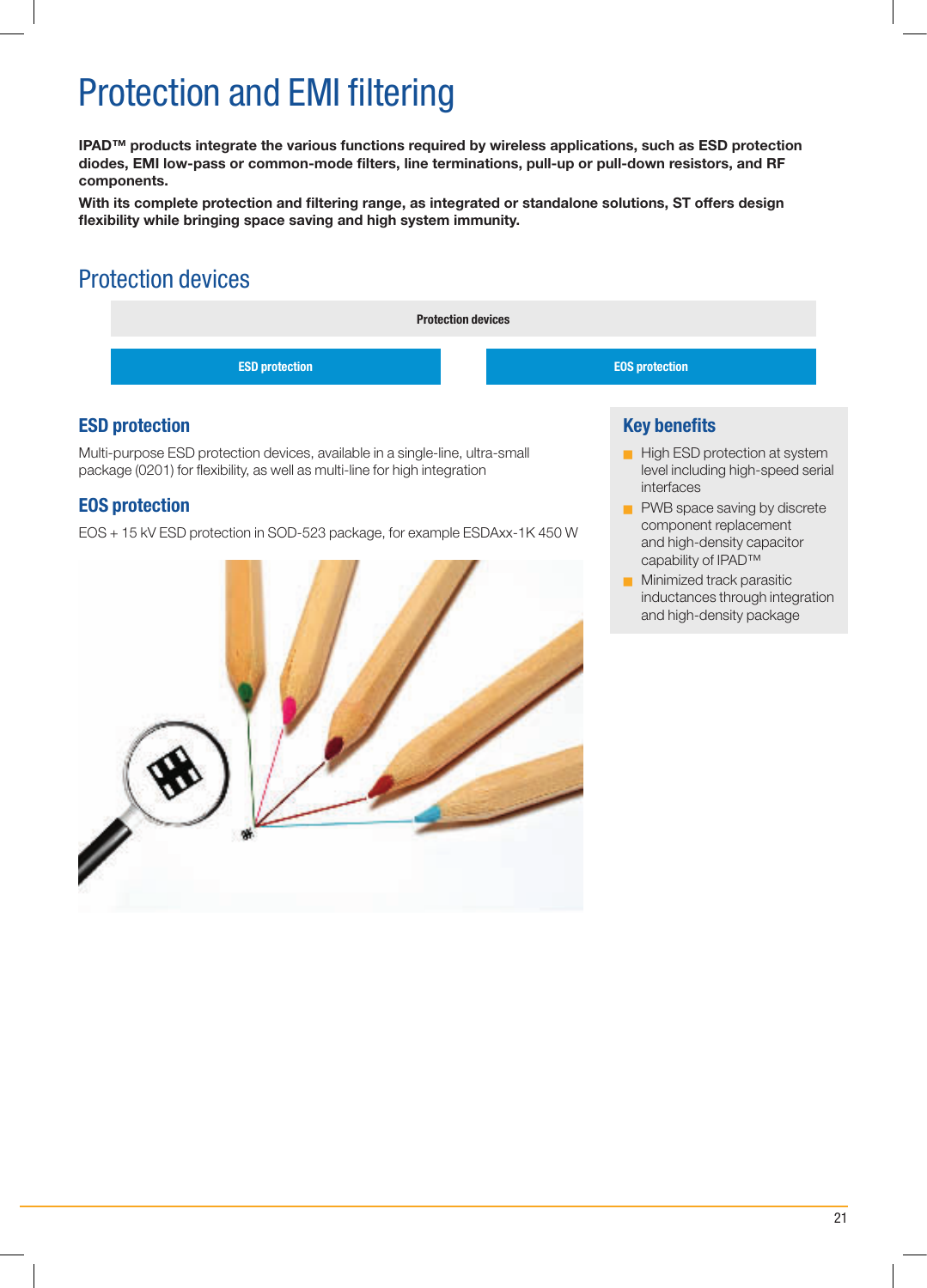# Protection and EMI filtering

**IPAD™ products integrate the various functions required by wireless applications, such as ESD protection diodes, EMI low-pass or common-mode filters, line terminations, pull-up or pull-down resistors, and RF components.** 

**With its complete protection and filtering range, as integrated or standalone solutions, ST offers design flexibility while bringing space saving and high system immunity.**

## Protection devices



#### **ESD protection**

Multi-purpose ESD protection devices, available in a single-line, ultra-small package (0201) for flexibility, as well as multi-line for high integration

### **EOS protection**

EOS + 15 kV ESD protection in SOD-523 package, for example ESDAxx-1K 450 W



- High ESD protection at system level including high-speed serial interfaces
- PWB space saving by discrete component replacement and high-density capacitor capability of IPAD™
- $\blacksquare$  Minimized track parasitic inductances through integration and high-density package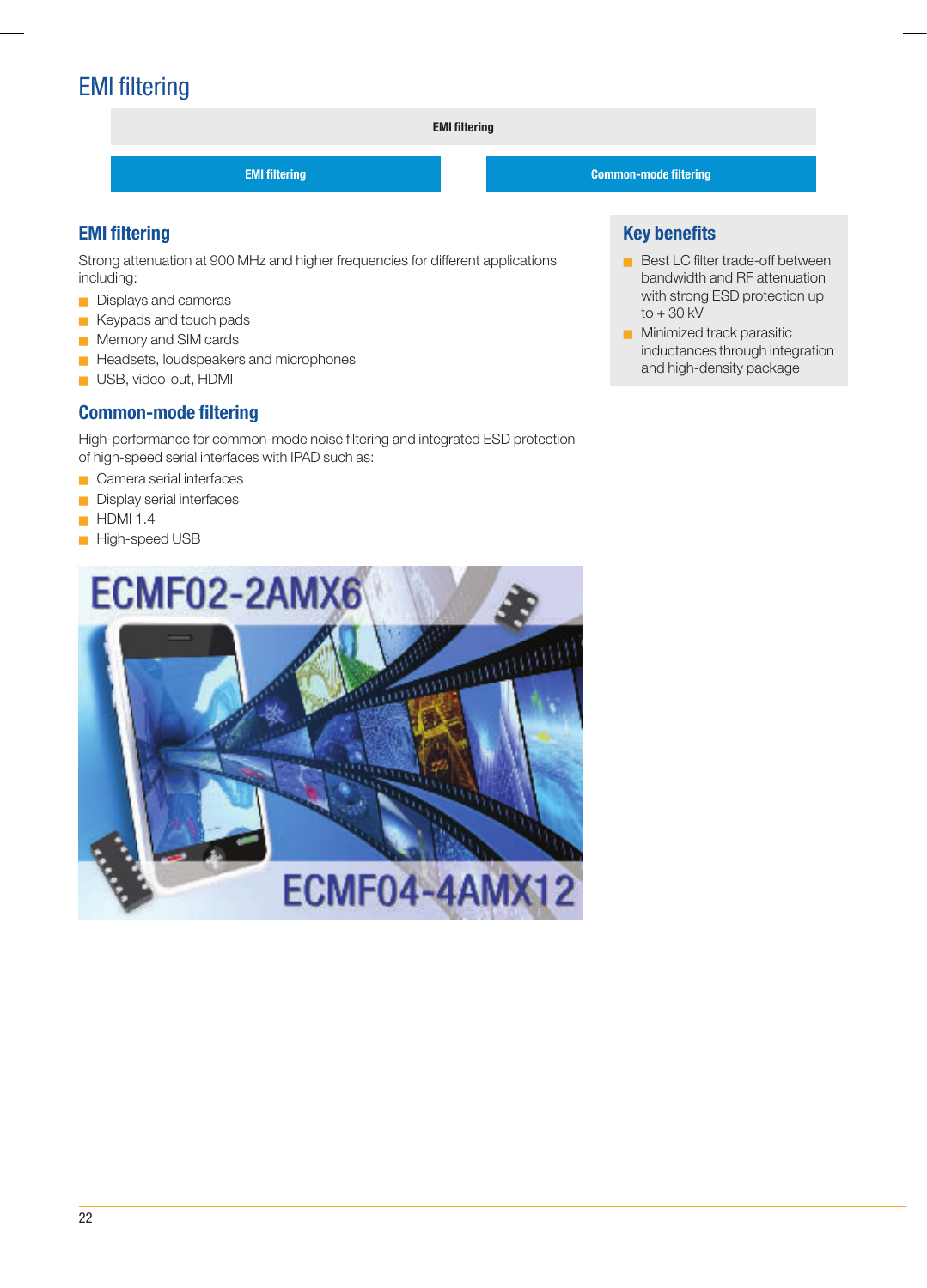## EMI filtering

**EMI filtering**

#### **EMI filtering**

Strong attenuation at 900 MHz and higher frequencies for different applications including:

- Displays and cameras
- $\blacksquare$  Keypads and touch pads
- Memory and SIM cards
- **Headsets, loudspeakers and microphones**
- **USB, video-out, HDMI**

#### **Common-mode filtering**

High-performance for common-mode noise filtering and integrated ESD protection of high-speed serial interfaces with IPAD such as:

- **Camera serial interfaces**
- Display serial interfaces
- $\blacksquare$  HDMI 1.4
- High-speed USB



**EMI filtering Common-mode filtering**

- Best LC filter trade-off between bandwidth and RF attenuation with strong ESD protection up  $to + 30$  kV
- $\blacksquare$  Minimized track parasitic inductances through integration and high-density package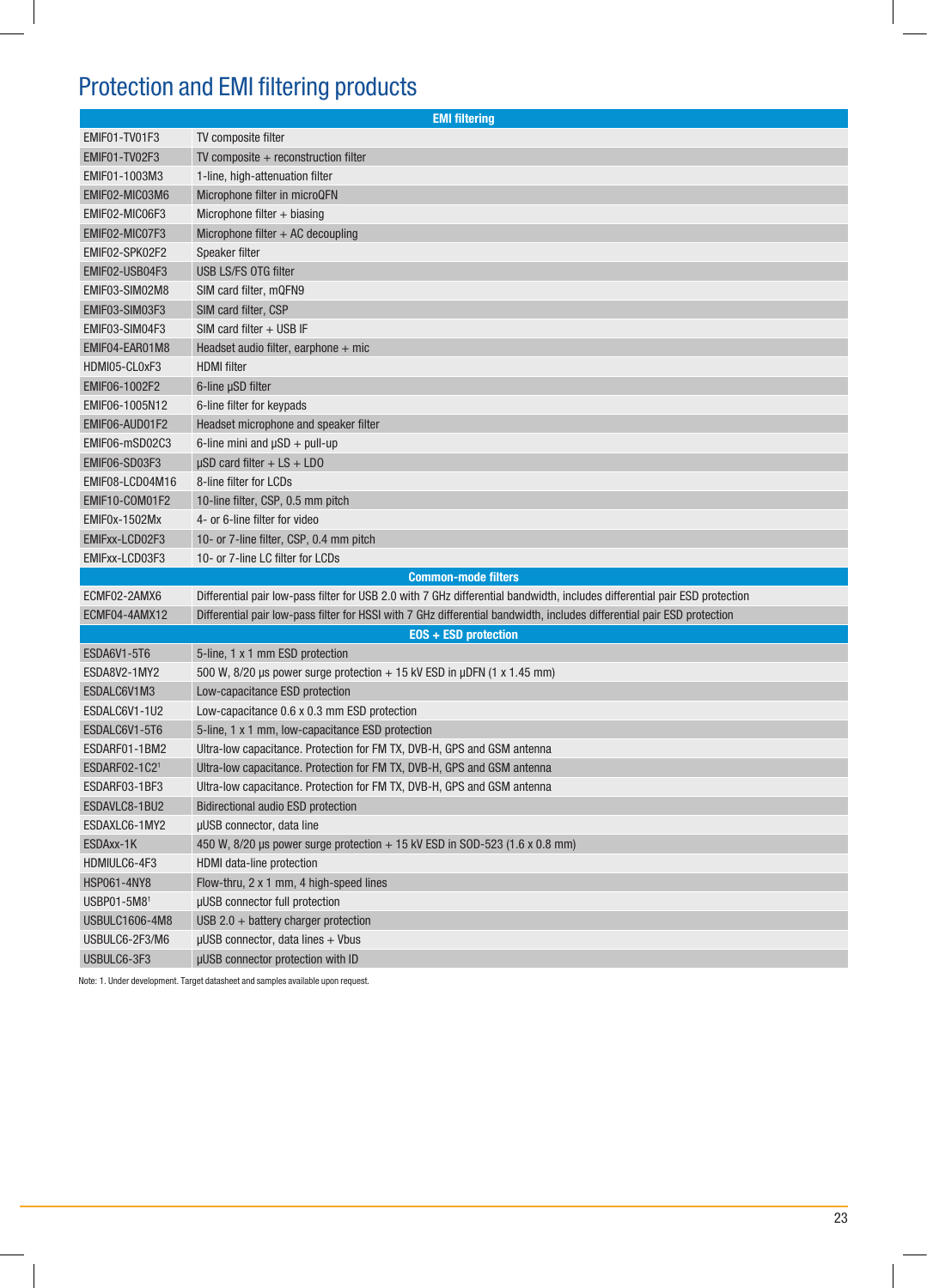## Protection and EMI filtering products

| <b>EMI filtering</b>       |                                                                                                                            |
|----------------------------|----------------------------------------------------------------------------------------------------------------------------|
| EMIF01-TV01F3              | TV composite filter                                                                                                        |
| EMIF01-TV02F3              | TV composite $+$ reconstruction filter                                                                                     |
| EMIF01-1003M3              | 1-line, high-attenuation filter                                                                                            |
| EMIF02-MIC03M6             | Microphone filter in microQFN                                                                                              |
| EMIF02-MIC06F3             | Microphone filter $+$ biasing                                                                                              |
| EMIF02-MIC07F3             | Microphone filter $+$ AC decoupling                                                                                        |
| EMIF02-SPK02F2             | Speaker filter                                                                                                             |
| EMIF02-USB04F3             | USB LS/FS OTG filter                                                                                                       |
| EMIF03-SIM02M8             | SIM card filter, mQFN9                                                                                                     |
| EMIF03-SIM03F3             | SIM card filter, CSP                                                                                                       |
| EMIF03-SIM04F3             | $SIM$ card filter $+$ USB IF                                                                                               |
| EMIF04-EAR01M8             | Headset audio filter, earphone $+$ mic                                                                                     |
| HDMI05-CL0xF3              | <b>HDMI</b> filter                                                                                                         |
| EMIF06-1002F2              | 6-line µSD filter                                                                                                          |
| EMIF06-1005N12             | 6-line filter for keypads                                                                                                  |
| EMIF06-AUD01F2             | Headset microphone and speaker filter                                                                                      |
| EMIF06-mSD02C3             | 6-line mini and $\mu SD + \text{pull-up}$                                                                                  |
| EMIF06-SD03F3              | $\mu$ SD card filter + LS + LDO                                                                                            |
| EMIF08-LCD04M16            | 8-line filter for LCDs                                                                                                     |
| EMIF10-COM01F2             | 10-line filter, CSP, 0.5 mm pitch                                                                                          |
| EMIF0x-1502Mx              | 4- or 6-line filter for video                                                                                              |
| EMIFxx-LCD02F3             | 10- or 7-line filter, CSP, 0.4 mm pitch                                                                                    |
| EMIFxx-LCD03F3             | 10- or 7-line LC filter for LCDs                                                                                           |
| <b>Common-mode filters</b> |                                                                                                                            |
| ECMF02-2AMX6               | Differential pair low-pass filter for USB 2.0 with 7 GHz differential bandwidth, includes differential pair ESD protection |
| ECMF04-4AMX12              | Differential pair low-pass filter for HSSI with 7 GHz differential bandwidth, includes differential pair ESD protection    |
| EOS + ESD protection       |                                                                                                                            |
| <b>ESDA6V1-5T6</b>         | 5-line, 1 x 1 mm ESD protection                                                                                            |
| ESDA8V2-1MY2               | 500 W, 8/20 µs power surge protection $+$ 15 kV ESD in µDFN (1 x 1.45 mm)                                                  |
| ESDALC6V1M3                | Low-capacitance ESD protection                                                                                             |
| ESDALC6V1-1U2              | Low-capacitance 0.6 x 0.3 mm ESD protection                                                                                |
| ESDALC6V1-5T6              | 5-line, 1 x 1 mm, low-capacitance ESD protection                                                                           |
| ESDARF01-1BM2              | Ultra-low capacitance. Protection for FM TX, DVB-H, GPS and GSM antenna                                                    |
| ESDARF02-1C21              | Ultra-low capacitance. Protection for FM TX, DVB-H, GPS and GSM antenna                                                    |
| ESDARF03-1BF3              | Ultra-low capacitance. Protection for FM TX, DVB-H, GPS and GSM antenna                                                    |
| ESDAVLC8-1BU2              | Bidirectional audio ESD protection                                                                                         |
| ESDAXLC6-1MY2              | µUSB connector, data line                                                                                                  |
| ESDAxx-1K                  | 450 W, $8/20$ µs power surge protection $+15$ kV ESD in SOD-523 (1.6 x 0.8 mm)                                             |
| HDMIULC6-4F3               | HDMI data-line protection                                                                                                  |
| <b>HSP061-4NY8</b>         | Flow-thru, 2 x 1 mm, 4 high-speed lines                                                                                    |
| USBP01-5M81                | µUSB connector full protection                                                                                             |
| USBULC1606-4M8             | $USB 2.0 + battery charge$ protection                                                                                      |
| USBULC6-2F3/M6             | $\mu$ USB connector, data lines + Vbus                                                                                     |
| USBULC6-3F3                | µUSB connector protection with ID                                                                                          |